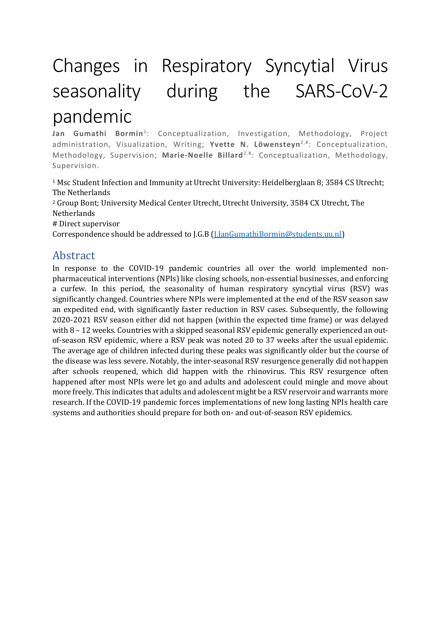# Changes in Respiratory Syncytial Virus seasonality during the SARS-CoV-2 pandemic

**Jan Gumathi Bormin**<sup>1</sup> : Conceptualization, Investigation, Methodology, Project administration, Visualization, Writing; **Yvette N. Löwensteyn**2,#: Conceptualization, Methodology, Supervision; **Marie-Noelle Billard**2,#: Conceptualization, Methodology, Supervision.

<sup>1</sup> Msc Student Infection and Immunity at Utrecht University: Heidelberglaan 8; 3584 CS Utrecht; The Netherlands

<sup>2</sup> Group Bont; University Medical Center Utrecht, Utrecht University, 3584 CX Utrecht, The Netherlands

# Direct supervisor

Correspondence should be addressed to J.G.B [\(J.JanGumathiBormin@students.uu.nl\)](mailto:J.JanGumathiBormin@students.uu.nl)

## Abstract

In response to the COVID-19 pandemic countries all over the world implemented nonpharmaceutical interventions (NPIs) like closing schools, non-essential businesses, and enforcing a curfew. In this period, the seasonality of human respiratory syncytial virus (RSV) was significantly changed. Countries where NPIs were implemented at the end of the RSV season saw an expedited end, with significantly faster reduction in RSV cases. Subsequently, the following 2020-2021 RSV season either did not happen (within the expected time frame) or was delayed with 8 – 12 weeks. Countries with a skipped seasonal RSV epidemic generally experienced an outof-season RSV epidemic, where a RSV peak was noted 20 to 37 weeks after the usual epidemic. The average age of children infected during these peaks was significantly older but the course of the disease was less severe. Notably, the inter-seasonal RSV resurgence generally did not happen after schools reopened, which did happen with the rhinovirus. This RSV resurgence often happened after most NPIs were let go and adults and adolescent could mingle and move about more freely. This indicates that adults and adolescent might be a RSV reservoir and warrants more research. If the COVID-19 pandemic forces implementations of new long lasting NPIs health care systems and authorities should prepare for both on- and out-of-season RSV epidemics.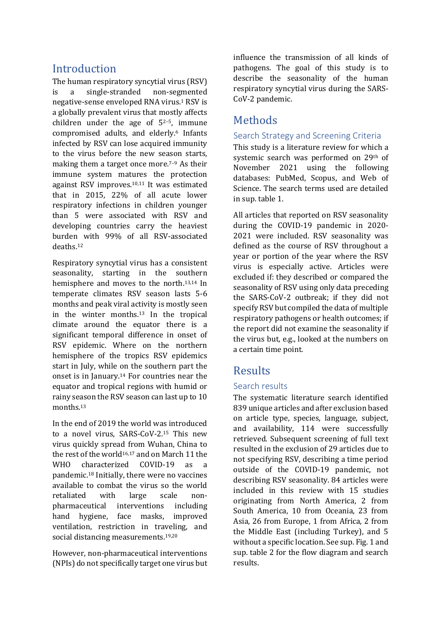# **Introduction**

The human respiratory syncytial virus (RSV) is a single-stranded non-segmented negative-sense enveloped RNA virus. <sup>1</sup> RSV is a globally prevalent virus that mostly affects children under the age of 52–5, immune compromised adults, and elderly. <sup>6</sup> Infants infected by RSV can lose acquired immunity to the virus before the new season starts, making them a target once more.<sup>7-9</sup> As their immune system matures the protection against RSV improves.10,11 It was estimated that in 2015, 22% of all acute lower respiratory infections in children younger than 5 were associated with RSV and developing countries carry the heaviest burden with 99% of all RSV-associated deaths. 12

Respiratory syncytial virus has a consistent seasonality, starting in the southern hemisphere and moves to the north. 13,14 In temperate climates RSV season lasts 5-6 months and peak viral activity is mostly seen in the winter months. <sup>13</sup> In the tropical climate around the equator there is a significant temporal difference in onset of RSV epidemic. Where on the northern hemisphere of the tropics RSV epidemics start in July, while on the southern part the onset is in January.<sup>14</sup> For countries near the equator and tropical regions with humid or rainy season the RSV season can last up to 10 months. 13

In the end of 2019 the world was introduced to a novel virus, SARS-CoV-2. <sup>15</sup> This new virus quickly spread from Wuhan, China to the rest of the world<sup>16,17</sup> and on March 11 the WHO characterized COVID-19 as a pandemic.<sup>18</sup> Initially, there were no vaccines available to combat the virus so the world retaliated with large scale nonpharmaceutical interventions including hand hygiene, face masks, improved ventilation, restriction in traveling, and social distancing measurements. 19,20

However, non-pharmaceutical interventions (NPIs) do not specifically target one virus but influence the transmission of all kinds of pathogens. The goal of this study is to describe the seasonality of the human respiratory syncytial virus during the SARS-CoV-2 pandemic.

# Methods

#### Search Strategy and Screening Criteria

This study is a literature review for which a systemic search was performed on 29th of November 2021 using the following databases: PubMed, Scopus, and Web of Science. The search terms used are detailed in sup. table 1.

All articles that reported on RSV seasonality during the COVID-19 pandemic in 2020- 2021 were included. RSV seasonality was defined as the course of RSV throughout a year or portion of the year where the RSV virus is especially active. Articles were excluded if: they described or compared the seasonality of RSV using only data preceding the SARS-CoV-2 outbreak; if they did not specify RSV but compiled the data of multiple respiratory pathogens or health outcomes; if the report did not examine the seasonality if the virus but, e.g., looked at the numbers on a certain time point.

# Results

#### Search results

The systematic literature search identified 839 unique articles and after exclusion based on article type, species, language, subject, and availability, 114 were successfully retrieved. Subsequent screening of full text resulted in the exclusion of 29 articles due to not specifying RSV, describing a time period outside of the COVID-19 pandemic, not describing RSV seasonality. 84 articles were included in this review with 15 studies originating from North America, 2 from South America, 10 from Oceania, 23 from Asia, 26 from Europe, 1 from Africa, 2 from the Middle East (including Turkey), and 5 without a specific location. See sup. Fig. 1 and sup. table 2 for the flow diagram and search results.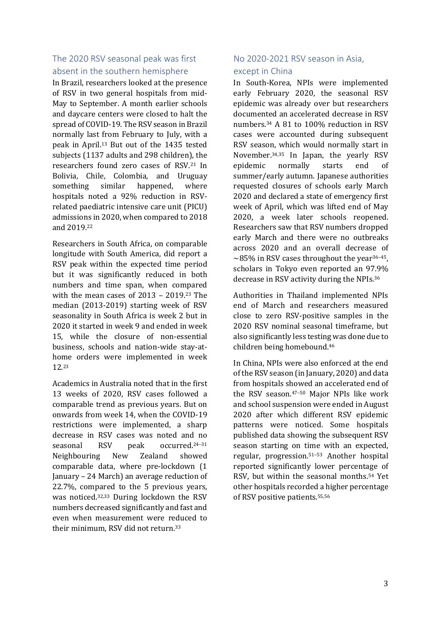#### The 2020 RSV seasonal peak was first absent in the southern hemisphere

In Brazil, researchers looked at the presence of RSV in two general hospitals from mid-May to September. A month earlier schools and daycare centers were closed to halt the spread of COVID-19. The RSV season in Brazil normally last from February to July, with a peak in April.<sup>13</sup> But out of the 1435 tested subjects (1137 adults and 298 children), the researchers found zero cases of RSV.<sup>21</sup> In Bolivia, Chile, Colombia, and Uruguay something similar happened, where hospitals noted a 92% reduction in RSVrelated paediatric intensive care unit (PICU) admissions in 2020, when compared to 2018 and 2019. 22

Researchers in South Africa, on comparable longitude with South America, did report a RSV peak within the expected time period but it was significantly reduced in both numbers and time span, when compared with the mean cases of 2013 – 2019. <sup>23</sup> The median (2013-2019) starting week of RSV seasonality in South Africa is week 2 but in 2020 it started in week 9 and ended in week 15, while the closure of non-essential business, schools and nation-wide stay-athome orders were implemented in week 12. 23

Academics in Australia noted that in the first 13 weeks of 2020, RSV cases followed a comparable trend as previous years. But on onwards from week 14, when the COVID-19 restrictions were implemented, a sharp decrease in RSV cases was noted and no seasonal RSV peak occurred. 24–31 Neighbouring New Zealand showed comparable data, where pre-lockdown (1 January – 24 March) an average reduction of 22.7%, compared to the 5 previous years, was noticed. 32,33 During lockdown the RSV numbers decreased significantly and fast and even when measurement were reduced to their minimum, RSV did not return. 33

#### No 2020-2021 RSV season in Asia, except in China

In South-Korea, NPIs were implemented early February 2020, the seasonal RSV epidemic was already over but researchers documented an accelerated decrease in RSV numbers.<sup>34</sup> A 81 to 100% reduction in RSV cases were accounted during subsequent RSV season, which would normally start in November. 34,35 In Japan, the yearly RSV epidemic normally starts end of summer/early autumn. Japanese authorities requested closures of schools early March 2020 and declared a state of emergency first week of April, which was lifted end of May 2020, a week later schools reopened. Researchers saw that RSV numbers dropped early March and there were no outbreaks across 2020 and an overall decrease of  $\sim$ 85% in RSV cases throughout the year<sup>36-45</sup>, scholars in Tokyo even reported an 97.9% decrease in RSV activity during the NPIs.<sup>36</sup>

Authorities in Thailand implemented NPIs end of March and researchers measured close to zero RSV-positive samples in the 2020 RSV nominal seasonal timeframe, but also significantly less testing was done due to children being homebound. 46

In China, NPIs were also enforced at the end of the RSV season (in January, 2020) and data from hospitals showed an accelerated end of the RSV season. <sup>47</sup>–<sup>50</sup> Major NPIs like work and school suspension were ended in August 2020 after which different RSV epidemic patterns were noticed. Some hospitals published data showing the subsequent RSV season starting on time with an expected, regular, progression. <sup>51</sup>–<sup>53</sup> Another hospital reported significantly lower percentage of RSV, but within the seasonal months.<sup>54</sup> Yet other hospitals recorded a higher percentage of RSV positive patients.55,56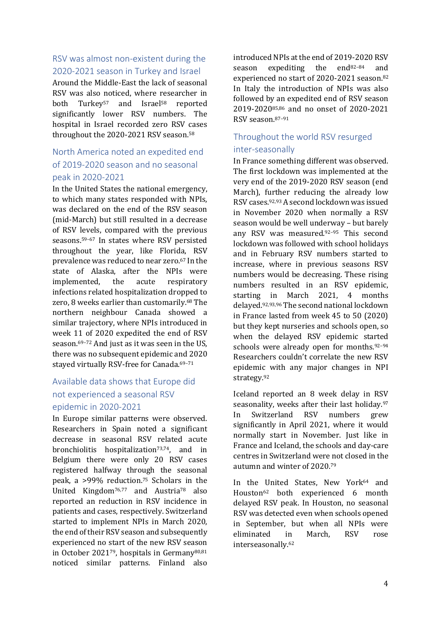#### RSV was almost non-existent during the 2020-2021 season in Turkey and Israel

Around the Middle-East the lack of seasonal RSV was also noticed, where researcher in both Turkey<sup>57</sup> and Israel<sup>58</sup> reported significantly lower RSV numbers. The hospital in Israel recorded zero RSV cases throughout the 2020-2021 RSV season.<sup>58</sup>

#### North America noted an expedited end of 2019-2020 season and no seasonal peak in 2020-2021

In the United States the national emergency, to which many states responded with NPIs, was declared on the end of the RSV season (mid-March) but still resulted in a decrease of RSV levels, compared with the previous seasons. <sup>59</sup>–<sup>67</sup> In states where RSV persisted throughout the year, like Florida, RSV prevalence was reduced to near zero. <sup>67</sup> In the state of Alaska, after the NPIs were implemented, the acute respiratory infections related hospitalization dropped to zero, 8 weeks earlier than customarily. <sup>68</sup> The northern neighbour Canada showed a similar trajectory, where NPIs introduced in week 11 of 2020 expedited the end of RSV season. <sup>69</sup>–<sup>72</sup> And just as it was seen in the US, there was no subsequent epidemic and 2020 stayed virtually RSV-free for Canada.<sup>69-71</sup>

#### Available data shows that Europe did not experienced a seasonal RSV epidemic in 2020-2021

In Europe similar patterns were observed. Researchers in Spain noted a significant decrease in seasonal RSV related acute bronchiolitis hospitalization<sup>73,74</sup>, and in Belgium there were only 20 RSV cases registered halfway through the seasonal peak, a >99% reduction. <sup>75</sup> Scholars in the United Kingdom76,77 and Austria<sup>78</sup> also reported an reduction in RSV incidence in patients and cases, respectively. Switzerland started to implement NPIs in March 2020, the end of their RSV season and subsequently experienced no start of the new RSV season in October 202179, hospitals in Germany80,81 noticed similar patterns. Finland also introduced NPIs at the end of 2019-2020 RSV season expediting the end $82-84$  and experienced no start of 2020-2021 season. 82 In Italy the introduction of NPIs was also followed by an expedited end of RSV season 2019-202085,86 and no onset of 2020-2021 RSV season. 87–91

#### Throughout the world RSV resurged inter-seasonally

In France something different was observed. The first lockdown was implemented at the very end of the 2019-2020 RSV season (end March), further reducing the already low RSV cases.92,93 A second lockdown was issued in November 2020 when normally a RSV season would be well underway – but barely any RSV was measured.92–<sup>95</sup> This second lockdown was followed with school holidays and in February RSV numbers started to increase, where in previous seasons RSV numbers would be decreasing. These rising numbers resulted in an RSV epidemic, starting in March 2021, 4 months delayed.92,93,96 The second national lockdown in France lasted from week 45 to 50 (2020) but they kept nurseries and schools open, so when the delayed RSV epidemic started schools were already open for months.<sup>92-94</sup> Researchers couldn't correlate the new RSV epidemic with any major changes in NPI strategy.<sup>92</sup>

Iceland reported an 8 week delay in RSV seasonality, weeks after their last holiday.<sup>97</sup> In Switzerland RSV numbers grew significantly in April 2021, where it would normally start in November. Just like in France and Iceland, the schools and day-care centres in Switzerland were not closed in the autumn and winter of 2020.<sup>79</sup>

In the United States, New York<sup>64</sup> and Houston<sup>62</sup> both experienced 6 month delayed RSV peak. In Houston, no seasonal RSV was detected even when schools opened in September, but when all NPIs were eliminated in March, RSV rose interseasonally.62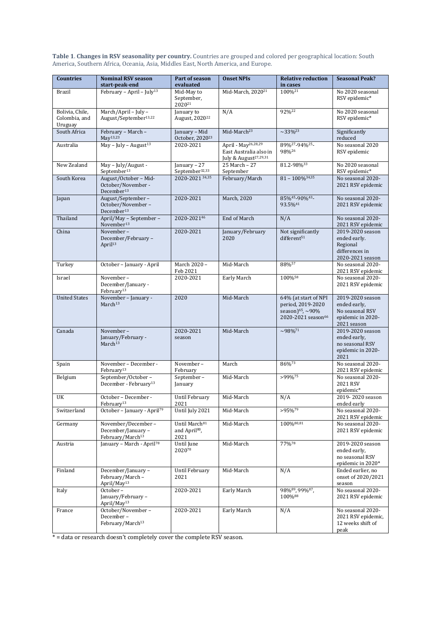**Table 1**. **Changes in RSV seasonality per country.** Countries are grouped and colored per geographical location: South America, Southern Africa, Oceania, Asia, Middles East, North America, and Europe.

| <b>Countries</b>                            | <b>Nominal RSV season</b><br>start-peak-end                             | Part of season<br>evaluated                                    | <b>Onset NPIs</b>                                                                              | <b>Relative reduction</b><br>in cases                                                              | <b>Seasonal Peak?</b>                                                                   |
|---------------------------------------------|-------------------------------------------------------------------------|----------------------------------------------------------------|------------------------------------------------------------------------------------------------|----------------------------------------------------------------------------------------------------|-----------------------------------------------------------------------------------------|
| <b>Brazil</b>                               | February - April - July <sup>13</sup>                                   | Mid-May to<br>September,<br>202021                             | Mid-March, 2020 <sup>21</sup>                                                                  | 100%21                                                                                             | No 2020 seasonal<br>RSV epidemic*                                                       |
| Bolivia, Chile,<br>Colombia, and<br>Uruguay | March/April - July -<br>August/September <sup>13,22</sup>               | January to<br>August, 2020 <sup>22</sup>                       | N/A                                                                                            | 92%22                                                                                              | No 2020 seasonal<br>RSV epidemic*                                                       |
| South Africa                                | February - March -<br>May <sup>13,23</sup>                              | January - Mid<br>October, 2020 <sup>23</sup>                   | Mid-March <sup>23</sup>                                                                        | $\sim$ 33% <sup>23</sup>                                                                           | Significantly<br>reduced                                                                |
| Australia                                   | May - July - August <sup>13</sup>                                       | 2020-2021                                                      | April - May <sup>26,28,29</sup><br>East Australia also in<br>July & August <sup>27,29,31</sup> | 89%27-94%25-<br>98%26                                                                              | No seasonal 2020<br>RSV epidemic                                                        |
| New Zealand                                 | May - July/August -<br>September <sup>13</sup>                          | Ianuary - 27<br>September <sup>32,33</sup>                     | 25 March - 27<br>September                                                                     | 81.2-98%33                                                                                         | No 2020 seasonal<br>RSV epidemic*                                                       |
| South Korea                                 | August/October - Mid-<br>October/November -<br>December <sup>13</sup>   | 2020-2021 34,35                                                | February/March                                                                                 | $81 - 100\%$ <sup>34,35</sup>                                                                      | No seasonal 2020-<br>2021 RSV epidemic                                                  |
| Japan                                       | August/September-<br>October/November-<br>December <sup>13</sup>        | 2020-2021                                                      | March, 2020                                                                                    | 85%45-90%43-<br>93.5%41                                                                            | No seasonal 2020-<br>2021 RSV epidemic                                                  |
| Thailand                                    | April/May - September -<br>November <sup>13</sup>                       | 2020-202146                                                    | <b>End of March</b>                                                                            | N/A                                                                                                | No seasonal 2020-<br>2021 RSV epidemic                                                  |
| China                                       | November-<br>December/February-<br>April <sup>13</sup>                  | 2020-2021                                                      | January/February<br>2020                                                                       | Not significantly<br>different <sup>51</sup>                                                       | 2019-2020 season<br>ended early.<br>Regional<br>differences in<br>2020-2021 season      |
| Turkey                                      | October - January - April                                               | March 2020 -<br>Feb 2021                                       | Mid-March                                                                                      | 88%57                                                                                              | No seasonal 2020-<br>2021 RSV epidemic                                                  |
| Israel                                      | November-<br>December/January -<br>February <sup>13</sup>               | 2020-2021                                                      | Early March                                                                                    | 100%58                                                                                             | No seasonal 2020-<br>2021 RSV epidemic                                                  |
| <b>United States</b>                        | November - January -<br>March <sup>13</sup>                             | 2020                                                           | Mid-March                                                                                      | 64% (at start of NPI<br>period, 2019-2020<br>season) $65, -90\%$<br>2020-2021 season <sup>66</sup> | 2019-2020 season<br>ended early,<br>No seasonal RSV<br>epidemic in 2020-<br>2021 season |
| Canada                                      | November-<br>January/February -<br>March <sup>13</sup>                  | 2020-2021<br>season                                            | Mid-March                                                                                      | $~298\%$ <sup>71</sup>                                                                             | 2019-2020 season<br>ended early,<br>no seasonal RSV<br>epidemic in 2020-<br>2021        |
| Spain                                       | November - December -<br>February <sup>13</sup>                         | November-<br>February                                          | March                                                                                          | 86%73                                                                                              | No seasonal 2020-<br>2021 RSV epidemic                                                  |
| Belgium                                     | September/October-<br>December - February <sup>13</sup>                 | September-<br>January                                          | Mid-March                                                                                      | $>99\%$ <sup>75</sup>                                                                              | No seasonal 2020-<br>2021 RSV<br>epidemic*                                              |
| UK                                          | October - December -<br>February <sup>13</sup>                          | Until February<br>2021                                         | Mid-March                                                                                      | N/A                                                                                                | 2019-2020 season<br>ended early                                                         |
| Switzerland                                 | October - January - April <sup>79</sup>                                 | Until July 2021                                                | Mid-March                                                                                      | $>95\%^{79}$                                                                                       | No seasonal 2020-<br>2021 RSV epidemic                                                  |
| Germany                                     | November/December-<br>December/January-<br>February/March <sup>13</sup> | Until March <sup>81</sup><br>and April <sup>80</sup> ,<br>2021 | Mid-March                                                                                      | 100%80,81                                                                                          | No seasonal 2020-<br>2021 RSV epidemic                                                  |
| Austria                                     | January - March - April <sup>78</sup>                                   | Until June<br>202078                                           | Mid-March                                                                                      | 77%78                                                                                              | 2019-2020 season<br>ended early,<br>no seasonal RSV<br>epidemic in 2020*                |
| Finland                                     | December/January-<br>February/March-<br>April/May <sup>13</sup>         | Until February<br>2021                                         | Mid-March                                                                                      | N/A                                                                                                | Ended earlier, no<br>onset of 2020/2021<br>season                                       |
| Italy                                       | October-<br>January/February -<br>April/May <sup>13</sup>               | 2020-2021                                                      | Early March                                                                                    | 98%89, 99%87,<br>100%88                                                                            | No seasonal 2020-<br>2021 RSV epidemic                                                  |
| France                                      | October/November-<br>December-<br>February/March <sup>13</sup>          | 2020-2021                                                      | Early March                                                                                    | N/A                                                                                                | No seasonal 2020-<br>2021 RSV epidemic,<br>12 weeks shift of<br>peak                    |

\* = data or research doesn't completely cover the complete RSV season.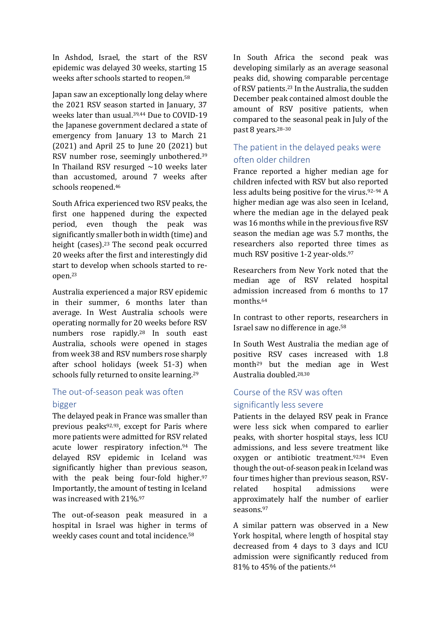In Ashdod, Israel, the start of the RSV epidemic was delayed 30 weeks, starting 15 weeks after schools started to reopen.<sup>58</sup>

Japan saw an exceptionally long delay where the 2021 RSV season started in January, 37 weeks later than usual. 39,44 Due to COVID-19 the Japanese government declared a state of emergency from January 13 to March 21 (2021) and April 25 to June 20 (2021) but RSV number rose, seemingly unbothered. 39 In Thailand RSV resurged  $\sim$ 10 weeks later than accustomed, around 7 weeks after schools reopened.<sup>46</sup>

South Africa experienced two RSV peaks, the first one happened during the expected period, even though the peak was significantly smaller both in width (time) and height (cases). <sup>23</sup> The second peak occurred 20 weeks after the first and interestingly did start to develop when schools started to reopen. 23

Australia experienced a major RSV epidemic in their summer, 6 months later than average. In West Australia schools were operating normally for 20 weeks before RSV numbers rose rapidly. <sup>28</sup> In south east Australia, schools were opened in stages from week 38 and RSV numbers rose sharply after school holidays (week 51-3) when schools fully returned to onsite learning.<sup>29</sup>

#### The out-of-season peak was often bigger

The delayed peak in France was smaller than previous peaks92,93, except for Paris where more patients were admitted for RSV related acute lower respiratory infection.<sup>94</sup> The delayed RSV epidemic in Iceland was significantly higher than previous season, with the peak being four-fold higher. 97 Importantly, the amount of testing in Iceland was increased with 21%. 97

The out-of-season peak measured in a hospital in Israel was higher in terms of weekly cases count and total incidence.<sup>58</sup>

In South Africa the second peak was developing similarly as an average seasonal peaks did, showing comparable percentage of RSV patients.<sup>23</sup> In the Australia, the sudden December peak contained almost double the amount of RSV positive patients, when compared to the seasonal peak in July of the past 8 years. 28–30

#### The patient in the delayed peaks were often older children

France reported a higher median age for children infected with RSV but also reported less adults being positive for the virus. <sup>92</sup>–<sup>94</sup> A higher median age was also seen in Iceland, where the median age in the delayed peak was 16 months while in the previous five RSV season the median age was 5.7 months, the researchers also reported three times as much RSV positive 1-2 year-olds. 97

Researchers from New York noted that the median age of RSV related hospital admission increased from 6 months to 17 months.<sup>64</sup>

In contrast to other reports, researchers in Israel saw no difference in age.<sup>58</sup>

In South West Australia the median age of positive RSV cases increased with 1.8 month<sup>29</sup> but the median age in West Australia doubled. 28,30

#### Course of the RSV was often significantly less severe

Patients in the delayed RSV peak in France were less sick when compared to earlier peaks, with shorter hospital stays, less ICU admissions, and less severe treatment like oxygen or antibiotic treatment.92,94 Even though the out-of-season peak in Iceland was four times higher than previous season, RSVrelated hospital admissions were approximately half the number of earlier seasons.<sup>97</sup>

A similar pattern was observed in a New York hospital, where length of hospital stay decreased from 4 days to 3 days and ICU admission were significantly reduced from 81% to 45% of the patients.64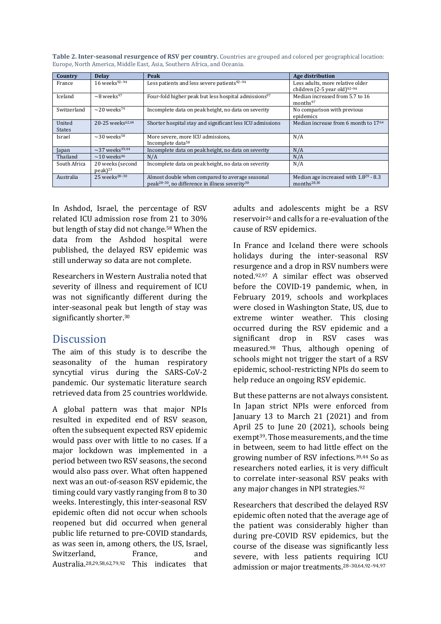| Country                 | <b>Delay</b>                             | Peak                                                                                                                       | Age distribution                                                      |
|-------------------------|------------------------------------------|----------------------------------------------------------------------------------------------------------------------------|-----------------------------------------------------------------------|
| France                  | $16$ weeks <sup>92-94</sup>              | Less patients and less severe patients <sup>92-94</sup>                                                                    | Less adults, more relative older<br>children (2-5 year old) $92-94$   |
| Iceland                 | $\sim$ 8 weeks <sup>97</sup>             | Four-fold higher peak but less hospital admissions <sup>97</sup>                                                           | Median increased from 5.7 to 16<br>months <sup>97</sup>               |
| Switzerland             | $\sim$ 20 weeks <sup>79</sup>            | Incomplete data on peak height, no data on severity                                                                        | No comparison with previous<br>epidemics                              |
| United<br><b>States</b> | 20-25 weeks <sup>62,64</sup>             | Shorter hospital stay and significant less ICU admissions                                                                  | Median increase from 6 month to 1764                                  |
| Israel                  | $\sim$ 30 weeks <sup>58</sup>            | More severe, more ICU admissions.<br>Incomplete data <sup>58</sup>                                                         | N/A                                                                   |
| Japan                   | $\sim$ 37 weeks <sup>39,44</sup>         | Incomplete data on peak height, no data on severity                                                                        | N/A                                                                   |
| Thailand                | $\sim$ 10 weeks <sup>46</sup>            | N/A                                                                                                                        | N/A                                                                   |
| South Africa            | 20 weeks (second<br>$peak$ <sup>23</sup> | Incomplete data on peak height, no data on severity                                                                        | N/A                                                                   |
| Australia               | $25$ weeks <sup>28-30</sup>              | Almost double when compared to average seasonal<br>peak <sup>28-30</sup> , no difference in illness severity <sup>30</sup> | Median age increased with $1.8^{29}$ - 8.3<br>months <sup>28,30</sup> |

**Table 2. Inter-seasonal resurgence of RSV per country.** Countries are grouped and colored per geographical location: Europe, North America, Middle East, Asia, Southern Africa, and Oceania.

In Ashdod, Israel, the percentage of RSV related ICU admission rose from 21 to 30% but length of stay did not change.<sup>58</sup> When the data from the Ashdod hospital were published, the delayed RSV epidemic was still underway so data are not complete.

Researchers in Western Australia noted that severity of illness and requirement of ICU was not significantly different during the inter-seasonal peak but length of stay was significantly shorter.<sup>30</sup>

#### **Discussion**

The aim of this study is to describe the seasonality of the human respiratory syncytial virus during the SARS-CoV-2 pandemic. Our systematic literature search retrieved data from 25 countries worldwide.

A global pattern was that major NPIs resulted in expedited end of RSV season, often the subsequent expected RSV epidemic would pass over with little to no cases. If a major lockdown was implemented in a period between two RSV seasons, the second would also pass over. What often happened next was an out-of-season RSV epidemic, the timing could vary vastly ranging from 8 to 30 weeks. Interestingly, this inter-seasonal RSV epidemic often did not occur when schools reopened but did occurred when general public life returned to pre-COVID standards, as was seen in, among others, the US, Israel, Switzerland, France, and Australia. 28,29,58,62,79,92 This indicates that adults and adolescents might be a RSV reservoir<sup>26</sup> and calls for a re-evaluation of the cause of RSV epidemics.

In France and Iceland there were schools holidays during the inter-seasonal RSV resurgence and a drop in RSV numbers were noted.92,97 A similar effect was observed before the COVID-19 pandemic, when, in February 2019, schools and workplaces were closed in Washington State, US, due to extreme winter weather. This closing occurred during the RSV epidemic and a significant drop in RSV cases was measured.<sup>98</sup> Thus, although opening of schools might not trigger the start of a RSV epidemic, school-restricting NPIs do seem to help reduce an ongoing RSV epidemic.

But these patterns are not always consistent. In Japan strict NPIs were enforced from January 13 to March 21 (2021) and from April 25 to June 20 (2021), schools being exempt<sup>39</sup>. Those measurements, and the time in between, seem to had little effect on the growing number of RSV infections.39,44 So as researchers noted earlies, it is very difficult to correlate inter-seasonal RSV peaks with any major changes in NPI strategies.<sup>92</sup>

Researchers that described the delayed RSV epidemic often noted that the average age of the patient was considerably higher than during pre-COVID RSV epidemics, but the course of the disease was significantly less severe, with less patients requiring ICU admission or major treatments. 28–30,64,92–94,97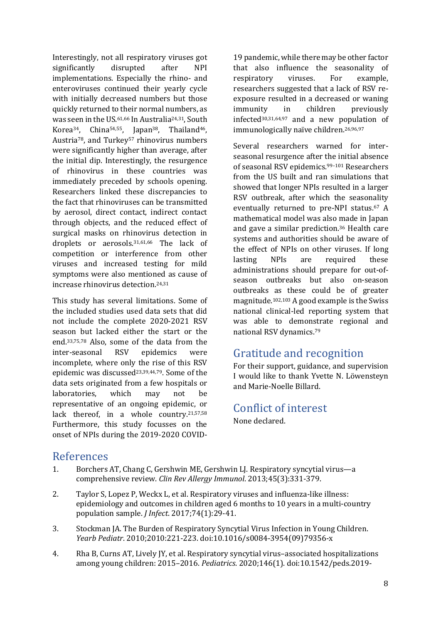Interestingly, not all respiratory viruses got significantly disrupted after NPI implementations. Especially the rhino- and enteroviruses continued their yearly cycle with initially decreased numbers but those quickly returned to their normal numbers, as was seen in the US. 61,66 In Australia24,31, South Korea<sup>34</sup>, China<sup>54,55</sup>, Japan<sup>38</sup>, Thailand<sup>46</sup>, Austria<sup>78</sup>, and Turkey<sup>57</sup> rhinovirus numbers were significantly higher than average, after the initial dip. Interestingly, the resurgence of rhinovirus in these countries was immediately preceded by schools opening. Researchers linked these discrepancies to the fact that rhinoviruses can be transmitted by aerosol, direct contact, indirect contact through objects, and the reduced effect of surgical masks on rhinovirus detection in droplets or aerosols. 31,61,66 The lack of competition or interference from other viruses and increased testing for mild symptoms were also mentioned as cause of increase rhinovirus detection. 24,31

This study has several limitations. Some of the included studies used data sets that did not include the complete 2020-2021 RSV season but lacked either the start or the end. 33,75,78 Also, some of the data from the inter-seasonal RSV epidemics were incomplete, where only the rise of this RSV epidemic was discussed23,39,44,79. Some of the data sets originated from a few hospitals or laboratories, which may not be representative of an ongoing epidemic, or lack thereof, in a whole country.21,57,58 Furthermore, this study focusses on the onset of NPIs during the 2019-2020 COVID-

19 pandemic, while there may be other factor that also influence the seasonality of respiratory viruses. For example, researchers suggested that a lack of RSV reexposure resulted in a decreased or waning immunity in children previously infected30,31,64,97 and a new population of immunologically naïve children.26,96,97

Several researchers warned for interseasonal resurgence after the initial absence of seasonal RSV epidemics.99–<sup>101</sup> Researchers from the US built and ran simulations that showed that longer NPIs resulted in a larger RSV outbreak, after which the seasonality eventually returned to pre-NPI status. <sup>67</sup> A mathematical model was also made in Japan and gave a similar prediction. <sup>36</sup> Health care systems and authorities should be aware of the effect of NPIs on other viruses. If long lasting NPIs are required these administrations should prepare for out-ofseason outbreaks but also on-season outbreaks as these could be of greater magnitude. 102,103 A good example is the Swiss national clinical-led reporting system that was able to demonstrate regional and national RSV dynamics. 79

## Gratitude and recognition

For their support, guidance, and supervision I would like to thank Yvette N. Löwensteyn and Marie-Noelle Billard.

Conflict of interest None declared.

# References

- 1. Borchers AT, Chang C, Gershwin ME, Gershwin LJ. Respiratory syncytial virus—a comprehensive review. *Clin Rev Allergy Immunol*. 2013;45(3):331-379.
- 2. Taylor S, Lopez P, Weckx L, et al. Respiratory viruses and influenza-like illness: epidemiology and outcomes in children aged 6 months to 10 years in a multi-country population sample. *J Infect*. 2017;74(1):29-41.
- 3. Stockman JA. The Burden of Respiratory Syncytial Virus Infection in Young Children. *Yearb Pediatr*. 2010;2010:221-223. doi:10.1016/s0084-3954(09)79356-x
- 4. Rha B, Curns AT, Lively JY, et al. Respiratory syncytial virus–associated hospitalizations among young children: 2015–2016. *Pediatrics*. 2020;146(1). doi:10.1542/peds.2019-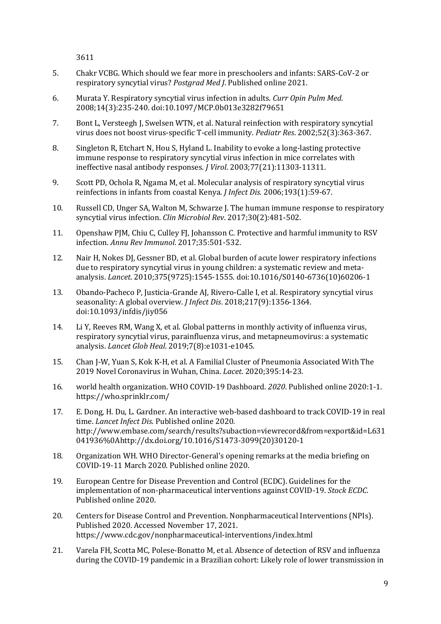3611

- 5. Chakr VCBG. Which should we fear more in preschoolers and infants: SARS-CoV-2 or respiratory syncytial virus? *Postgrad Med J*. Published online 2021.
- 6. Murata Y. Respiratory syncytial virus infection in adults. *Curr Opin Pulm Med*. 2008;14(3):235-240. doi:10.1097/MCP.0b013e3282f79651
- 7. Bont L, Versteegh J, Swelsen WTN, et al. Natural reinfection with respiratory syncytial virus does not boost virus-specific T-cell immunity. *Pediatr Res*. 2002;52(3):363-367.
- 8. Singleton R, Etchart N, Hou S, Hyland L. Inability to evoke a long-lasting protective immune response to respiratory syncytial virus infection in mice correlates with ineffective nasal antibody responses. *J Virol*. 2003;77(21):11303-11311.
- 9. Scott PD, Ochola R, Ngama M, et al. Molecular analysis of respiratory syncytial virus reinfections in infants from coastal Kenya. *J Infect Dis*. 2006;193(1):59-67.
- 10. Russell CD, Unger SA, Walton M, Schwarze J. The human immune response to respiratory syncytial virus infection. *Clin Microbiol Rev*. 2017;30(2):481-502.
- 11. Openshaw PJM, Chiu C, Culley FJ, Johansson C. Protective and harmful immunity to RSV infection. *Annu Rev Immunol*. 2017;35:501-532.
- 12. Nair H, Nokes DJ, Gessner BD, et al. Global burden of acute lower respiratory infections due to respiratory syncytial virus in young children: a systematic review and metaanalysis. *Lancet*. 2010;375(9725):1545-1555. doi:10.1016/S0140-6736(10)60206-1
- 13. Obando-Pacheco P, Justicia-Grande AJ, Rivero-Calle I, et al. Respiratory syncytial virus seasonality: A global overview. *J Infect Dis*. 2018;217(9):1356-1364. doi:10.1093/infdis/jiy056
- 14. Li Y, Reeves RM, Wang X, et al. Global patterns in monthly activity of influenza virus, respiratory syncytial virus, parainfluenza virus, and metapneumovirus: a systematic analysis. *Lancet Glob Heal*. 2019;7(8):e1031-e1045.
- 15. Chan J-W, Yuan S, Kok K-H, et al. A Familial Cluster of Pneumonia Associated With The 2019 Novel Coronavirus in Wuhan, China. *Lacet*. 2020;395:14-23.
- 16. world health organization. WHO COVID-19 Dashboard. *2020*. Published online 2020:1-1. https://who.sprinklr.com/
- 17. E. Dong, H. Du, L. Gardner. An interactive web-based dashboard to track COVID-19 in real time. *Lancet Infect Dis*. Published online 2020. http://www.embase.com/search/results?subaction=viewrecord&from=export&id=L631 041936%0Ahttp://dx.doi.org/10.1016/S1473-3099(20)30120-1
- 18. Organization WH. WHO Director-General's opening remarks at the media briefing on COVID-19-11 March 2020. Published online 2020.
- 19. European Centre for Disease Prevention and Control (ECDC). Guidelines for the implementation of non-pharmaceutical interventions against COVID-19. *Stock ECDC*. Published online 2020.
- 20. Centers for Disease Control and Prevention. Nonpharmaceutical Interventions (NPIs). Published 2020. Accessed November 17, 2021. https://www.cdc.gov/nonpharmaceutical-interventions/index.html
- 21. Varela FH, Scotta MC, Polese-Bonatto M, et al. Absence of detection of RSV and influenza during the COVID-19 pandemic in a Brazilian cohort: Likely role of lower transmission in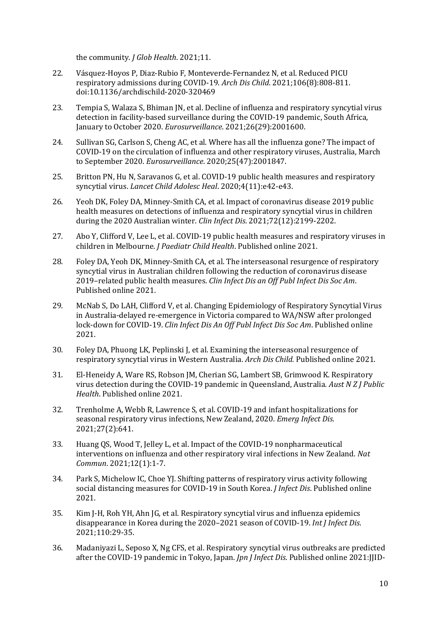the community. *J Glob Health*. 2021;11.

- 22. Vásquez-Hoyos P, Diaz-Rubio F, Monteverde-Fernandez N, et al. Reduced PICU respiratory admissions during COVID-19. *Arch Dis Child*. 2021;106(8):808-811. doi:10.1136/archdischild-2020-320469
- 23. Tempia S, Walaza S, Bhiman JN, et al. Decline of influenza and respiratory syncytial virus detection in facility-based surveillance during the COVID-19 pandemic, South Africa, January to October 2020. *Eurosurveillance*. 2021;26(29):2001600.
- 24. Sullivan SG, Carlson S, Cheng AC, et al. Where has all the influenza gone? The impact of COVID-19 on the circulation of influenza and other respiratory viruses, Australia, March to September 2020. *Eurosurveillance*. 2020;25(47):2001847.
- 25. Britton PN, Hu N, Saravanos G, et al. COVID-19 public health measures and respiratory syncytial virus. *Lancet Child Adolesc Heal*. 2020;4(11):e42-e43.
- 26. Yeoh DK, Foley DA, Minney-Smith CA, et al. Impact of coronavirus disease 2019 public health measures on detections of influenza and respiratory syncytial virus in children during the 2020 Australian winter. *Clin Infect Dis*. 2021;72(12):2199-2202.
- 27. Abo Y, Clifford V, Lee L, et al. COVID‐19 public health measures and respiratory viruses in children in Melbourne. *J Paediatr Child Health*. Published online 2021.
- 28. Foley DA, Yeoh DK, Minney-Smith CA, et al. The interseasonal resurgence of respiratory syncytial virus in Australian children following the reduction of coronavirus disease 2019–related public health measures. *Clin Infect Dis an Off Publ Infect Dis Soc Am*. Published online 2021.
- 29. McNab S, Do LAH, Clifford V, et al. Changing Epidemiology of Respiratory Syncytial Virus in Australia-delayed re-emergence in Victoria compared to WA/NSW after prolonged lock-down for COVID-19. *Clin Infect Dis An Off Publ Infect Dis Soc Am*. Published online 2021.
- 30. Foley DA, Phuong LK, Peplinski J, et al. Examining the interseasonal resurgence of respiratory syncytial virus in Western Australia. *Arch Dis Child*. Published online 2021.
- 31. El-Heneidy A, Ware RS, Robson JM, Cherian SG, Lambert SB, Grimwood K. Respiratory virus detection during the COVID‐19 pandemic in Queensland, Australia. *Aust N Z J Public Health*. Published online 2021.
- 32. Trenholme A, Webb R, Lawrence S, et al. COVID-19 and infant hospitalizations for seasonal respiratory virus infections, New Zealand, 2020. *Emerg Infect Dis*. 2021;27(2):641.
- 33. Huang QS, Wood T, Jelley L, et al. Impact of the COVID-19 nonpharmaceutical interventions on influenza and other respiratory viral infections in New Zealand. *Nat Commun*. 2021;12(1):1-7.
- 34. Park S, Michelow IC, Choe YJ. Shifting patterns of respiratory virus activity following social distancing measures for COVID-19 in South Korea. *J Infect Dis*. Published online 2021.
- 35. Kim J-H, Roh YH, Ahn JG, et al. Respiratory syncytial virus and influenza epidemics disappearance in Korea during the 2020–2021 season of COVID-19. *Int J Infect Dis*. 2021;110:29-35.
- 36. Madaniyazi L, Seposo X, Ng CFS, et al. Respiratory syncytial virus outbreaks are predicted after the COVID-19 pandemic in Tokyo, Japan. *Jpn J Infect Dis*. Published online 2021:JJID-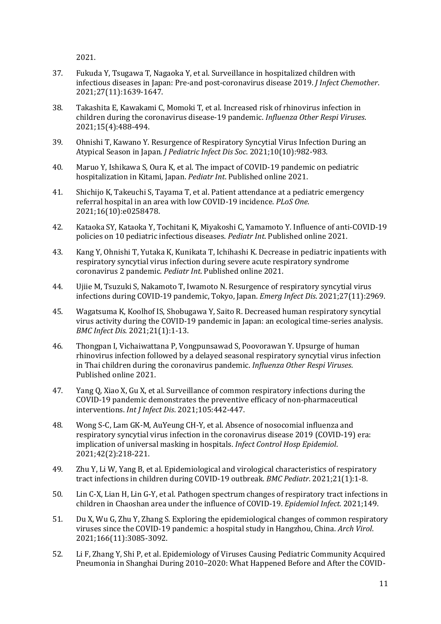2021.

- 37. Fukuda Y, Tsugawa T, Nagaoka Y, et al. Surveillance in hospitalized children with infectious diseases in Japan: Pre-and post-coronavirus disease 2019. *J Infect Chemother*. 2021;27(11):1639-1647.
- 38. Takashita E, Kawakami C, Momoki T, et al. Increased risk of rhinovirus infection in children during the coronavirus disease‐19 pandemic. *Influenza Other Respi Viruses*. 2021;15(4):488-494.
- 39. Ohnishi T, Kawano Y. Resurgence of Respiratory Syncytial Virus Infection During an Atypical Season in Japan. *J Pediatric Infect Dis Soc*. 2021;10(10):982-983.
- 40. Maruo Y, Ishikawa S, Oura K, et al. The impact of COVID‐19 pandemic on pediatric hospitalization in Kitami, Japan. *Pediatr Int*. Published online 2021.
- 41. Shichijo K, Takeuchi S, Tayama T, et al. Patient attendance at a pediatric emergency referral hospital in an area with low COVID-19 incidence. *PLoS One*. 2021;16(10):e0258478.
- 42. Kataoka SY, Kataoka Y, Tochitani K, Miyakoshi C, Yamamoto Y. Influence of anti‐COVID‐19 policies on 10 pediatric infectious diseases. *Pediatr Int*. Published online 2021.
- 43. Kang Y, Ohnishi T, Yutaka K, Kunikata T, Ichihashi K. Decrease in pediatric inpatients with respiratory syncytial virus infection during severe acute respiratory syndrome coronavirus 2 pandemic. *Pediatr Int*. Published online 2021.
- 44. Ujiie M, Tsuzuki S, Nakamoto T, Iwamoto N. Resurgence of respiratory syncytial virus infections during COVID-19 pandemic, Tokyo, Japan. *Emerg Infect Dis*. 2021;27(11):2969.
- 45. Wagatsuma K, Koolhof IS, Shobugawa Y, Saito R. Decreased human respiratory syncytial virus activity during the COVID-19 pandemic in Japan: an ecological time-series analysis. *BMC Infect Dis*. 2021;21(1):1-13.
- 46. Thongpan I, Vichaiwattana P, Vongpunsawad S, Poovorawan Y. Upsurge of human rhinovirus infection followed by a delayed seasonal respiratory syncytial virus infection in Thai children during the coronavirus pandemic. *Influenza Other Respi Viruses*. Published online 2021.
- 47. Yang Q, Xiao X, Gu X, et al. Surveillance of common respiratory infections during the COVID-19 pandemic demonstrates the preventive efficacy of non-pharmaceutical interventions. *Int J Infect Dis*. 2021;105:442-447.
- 48. Wong S-C, Lam GK-M, AuYeung CH-Y, et al. Absence of nosocomial influenza and respiratory syncytial virus infection in the coronavirus disease 2019 (COVID-19) era: implication of universal masking in hospitals. *Infect Control Hosp Epidemiol*. 2021;42(2):218-221.
- 49. Zhu Y, Li W, Yang B, et al. Epidemiological and virological characteristics of respiratory tract infections in children during COVID-19 outbreak. *BMC Pediatr*. 2021;21(1):1-8.
- 50. Lin C-X, Lian H, Lin G-Y, et al. Pathogen spectrum changes of respiratory tract infections in children in Chaoshan area under the influence of COVID-19. *Epidemiol Infect*. 2021;149.
- 51. Du X, Wu G, Zhu Y, Zhang S. Exploring the epidemiological changes of common respiratory viruses since the COVID-19 pandemic: a hospital study in Hangzhou, China. *Arch Virol*. 2021;166(11):3085-3092.
- 52. Li F, Zhang Y, Shi P, et al. Epidemiology of Viruses Causing Pediatric Community Acquired Pneumonia in Shanghai During 2010–2020: What Happened Before and After the COVID-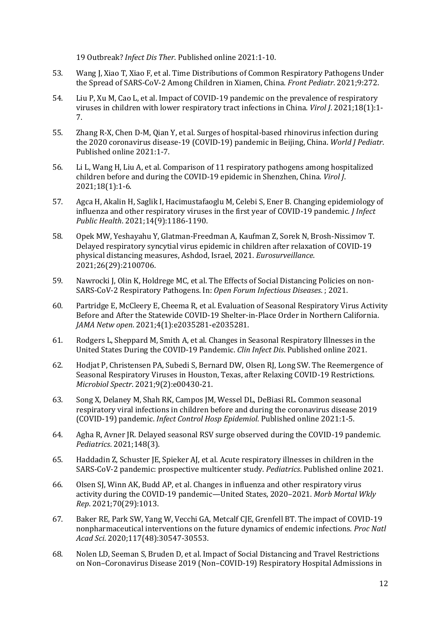19 Outbreak? *Infect Dis Ther*. Published online 2021:1-10.

- 53. Wang J, Xiao T, Xiao F, et al. Time Distributions of Common Respiratory Pathogens Under the Spread of SARS-CoV-2 Among Children in Xiamen, China. *Front Pediatr*. 2021;9:272.
- 54. Liu P, Xu M, Cao L, et al. Impact of COVID-19 pandemic on the prevalence of respiratory viruses in children with lower respiratory tract infections in China. *Virol J*. 2021;18(1):1- 7.
- 55. Zhang R-X, Chen D-M, Qian Y, et al. Surges of hospital-based rhinovirus infection during the 2020 coronavirus disease-19 (COVID-19) pandemic in Beijing, China. *World J Pediatr*. Published online 2021:1-7.
- 56. Li L, Wang H, Liu A, et al. Comparison of 11 respiratory pathogens among hospitalized children before and during the COVID-19 epidemic in Shenzhen, China. *Virol J*. 2021;18(1):1-6.
- 57. Agca H, Akalin H, Saglik I, Hacimustafaoglu M, Celebi S, Ener B. Changing epidemiology of influenza and other respiratory viruses in the first year of COVID-19 pandemic. *J Infect Public Health*. 2021;14(9):1186-1190.
- 58. Opek MW, Yeshayahu Y, Glatman-Freedman A, Kaufman Z, Sorek N, Brosh-Nissimov T. Delayed respiratory syncytial virus epidemic in children after relaxation of COVID-19 physical distancing measures, Ashdod, Israel, 2021. *Eurosurveillance*. 2021;26(29):2100706.
- 59. Nawrocki J, Olin K, Holdrege MC, et al. The Effects of Social Distancing Policies on non-SARS-CoV-2 Respiratory Pathogens. In: *Open Forum Infectious Diseases*. ; 2021.
- 60. Partridge E, McCleery E, Cheema R, et al. Evaluation of Seasonal Respiratory Virus Activity Before and After the Statewide COVID-19 Shelter-in-Place Order in Northern California. *JAMA Netw open*. 2021;4(1):e2035281-e2035281.
- 61. Rodgers L, Sheppard M, Smith A, et al. Changes in Seasonal Respiratory Illnesses in the United States During the COVID-19 Pandemic. *Clin Infect Dis*. Published online 2021.
- 62. Hodjat P, Christensen PA, Subedi S, Bernard DW, Olsen RJ, Long SW. The Reemergence of Seasonal Respiratory Viruses in Houston, Texas, after Relaxing COVID-19 Restrictions. *Microbiol Spectr*. 2021;9(2):e00430-21.
- 63. Song X, Delaney M, Shah RK, Campos JM, Wessel DL, DeBiasi RL. Common seasonal respiratory viral infections in children before and during the coronavirus disease 2019 (COVID-19) pandemic. *Infect Control Hosp Epidemiol*. Published online 2021:1-5.
- 64. Agha R, Avner JR. Delayed seasonal RSV surge observed during the COVID-19 pandemic. *Pediatrics*. 2021;148(3).
- 65. Haddadin Z, Schuster JE, Spieker AJ, et al. Acute respiratory illnesses in children in the SARS-CoV-2 pandemic: prospective multicenter study. *Pediatrics*. Published online 2021.
- 66. Olsen SJ, Winn AK, Budd AP, et al. Changes in influenza and other respiratory virus activity during the COVID-19 pandemic—United States, 2020–2021. *Morb Mortal Wkly Rep*. 2021;70(29):1013.
- 67. Baker RE, Park SW, Yang W, Vecchi GA, Metcalf CJE, Grenfell BT. The impact of COVID-19 nonpharmaceutical interventions on the future dynamics of endemic infections. *Proc Natl Acad Sci*. 2020;117(48):30547-30553.
- 68. Nolen LD, Seeman S, Bruden D, et al. Impact of Social Distancing and Travel Restrictions on Non–Coronavirus Disease 2019 (Non–COVID-19) Respiratory Hospital Admissions in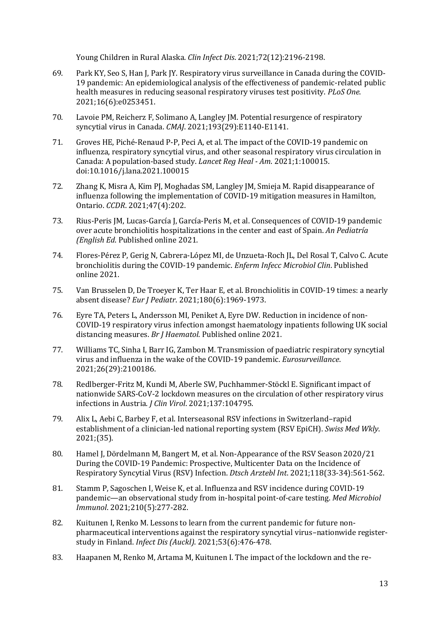Young Children in Rural Alaska. *Clin Infect Dis*. 2021;72(12):2196-2198.

- 69. Park KY, Seo S, Han J, Park JY. Respiratory virus surveillance in Canada during the COVID-19 pandemic: An epidemiological analysis of the effectiveness of pandemic-related public health measures in reducing seasonal respiratory viruses test positivity. *PLoS One*. 2021;16(6):e0253451.
- 70. Lavoie PM, Reicherz F, Solimano A, Langley JM. Potential resurgence of respiratory syncytial virus in Canada. *CMAJ*. 2021;193(29):E1140-E1141.
- 71. Groves HE, Piché-Renaud P-P, Peci A, et al. The impact of the COVID-19 pandemic on influenza, respiratory syncytial virus, and other seasonal respiratory virus circulation in Canada: A population-based study. *Lancet Reg Heal - Am*. 2021;1:100015. doi:10.1016/j.lana.2021.100015
- 72. Zhang K, Misra A, Kim PJ, Moghadas SM, Langley JM, Smieja M. Rapid disappearance of influenza following the implementation of COVID-19 mitigation measures in Hamilton, Ontario. *CCDR*. 2021;47(4):202.
- 73. Rius-Peris JM, Lucas-García J, García-Peris M, et al. Consequences of COVID-19 pandemic over acute bronchiolitis hospitalizations in the center and east of Spain. *An Pediatría (English Ed*. Published online 2021.
- 74. Flores-Pérez P, Gerig N, Cabrera-López MI, de Unzueta-Roch JL, Del Rosal T, Calvo C. Acute bronchiolitis during the COVID-19 pandemic. *Enferm Infecc Microbiol Clin*. Published online 2021.
- 75. Van Brusselen D, De Troeyer K, Ter Haar E, et al. Bronchiolitis in COVID-19 times: a nearly absent disease? *Eur J Pediatr*. 2021;180(6):1969-1973.
- 76. Eyre TA, Peters L, Andersson MI, Peniket A, Eyre DW. Reduction in incidence of non‐ COVID‐19 respiratory virus infection amongst haematology inpatients following UK social distancing measures. *Br J Haematol*. Published online 2021.
- 77. Williams TC, Sinha I, Barr IG, Zambon M. Transmission of paediatric respiratory syncytial virus and influenza in the wake of the COVID-19 pandemic. *Eurosurveillance*. 2021;26(29):2100186.
- 78. Redlberger-Fritz M, Kundi M, Aberle SW, Puchhammer-Stöckl E. Significant impact of nationwide SARS-CoV-2 lockdown measures on the circulation of other respiratory virus infections in Austria. *J Clin Virol*. 2021;137:104795.
- 79. Alix L, Aebi C, Barbey F, et al. Interseasonal RSV infections in Switzerland–rapid establishment of a clinician-led national reporting system (RSV EpiCH). *Swiss Med Wkly*. 2021;(35).
- 80. Hamel J, Dördelmann M, Bangert M, et al. Non-Appearance of the RSV Season 2020/21 During the COVID-19 Pandemic: Prospective, Multicenter Data on the Incidence of Respiratory Syncytial Virus (RSV) Infection. *Dtsch Arztebl Int*. 2021;118(33-34):561-562.
- 81. Stamm P, Sagoschen I, Weise K, et al. Influenza and RSV incidence during COVID-19 pandemic—an observational study from in-hospital point-of-care testing. *Med Microbiol Immunol*. 2021;210(5):277-282.
- 82. Kuitunen I, Renko M. Lessons to learn from the current pandemic for future nonpharmaceutical interventions against the respiratory syncytial virus–nationwide registerstudy in Finland. *Infect Dis (Auckl)*. 2021;53(6):476-478.
- 83. Haapanen M, Renko M, Artama M, Kuitunen I. The impact of the lockdown and the re-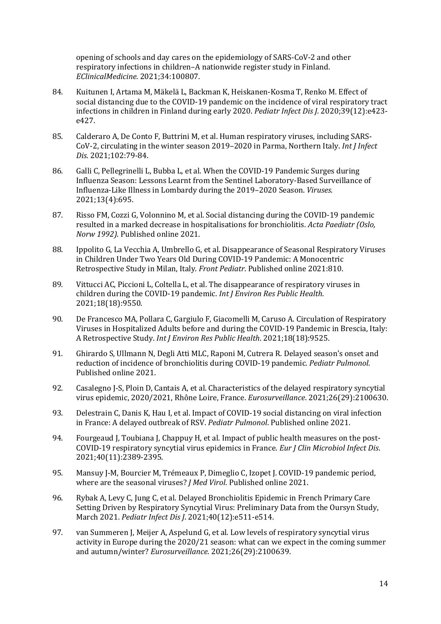opening of schools and day cares on the epidemiology of SARS-CoV-2 and other respiratory infections in children–A nationwide register study in Finland. *EClinicalMedicine*. 2021;34:100807.

- 84. Kuitunen I, Artama M, Mäkelä L, Backman K, Heiskanen-Kosma T, Renko M. Effect of social distancing due to the COVID-19 pandemic on the incidence of viral respiratory tract infections in children in Finland during early 2020. *Pediatr Infect Dis J*. 2020;39(12):e423 e427.
- 85. Calderaro A, De Conto F, Buttrini M, et al. Human respiratory viruses, including SARS-CoV-2, circulating in the winter season 2019–2020 in Parma, Northern Italy. *Int J Infect Dis*. 2021;102:79-84.
- 86. Galli C, Pellegrinelli L, Bubba L, et al. When the COVID-19 Pandemic Surges during Influenza Season: Lessons Learnt from the Sentinel Laboratory-Based Surveillance of Influenza-Like Illness in Lombardy during the 2019–2020 Season. *Viruses*. 2021;13(4):695.
- 87. Risso FM, Cozzi G, Volonnino M, et al. Social distancing during the COVID‐19 pandemic resulted in a marked decrease in hospitalisations for bronchiolitis. *Acta Paediatr (Oslo, Norw 1992)*. Published online 2021.
- 88. Ippolito G, La Vecchia A, Umbrello G, et al. Disappearance of Seasonal Respiratory Viruses in Children Under Two Years Old During COVID-19 Pandemic: A Monocentric Retrospective Study in Milan, Italy. *Front Pediatr*. Published online 2021:810.
- 89. Vittucci AC, Piccioni L, Coltella L, et al. The disappearance of respiratory viruses in children during the COVID-19 pandemic. *Int J Environ Res Public Health*. 2021;18(18):9550.
- 90. De Francesco MA, Pollara C, Gargiulo F, Giacomelli M, Caruso A. Circulation of Respiratory Viruses in Hospitalized Adults before and during the COVID-19 Pandemic in Brescia, Italy: A Retrospective Study. *Int J Environ Res Public Health*. 2021;18(18):9525.
- 91. Ghirardo S, Ullmann N, Degli Atti MLC, Raponi M, Cutrera R. Delayed season's onset and reduction of incidence of bronchiolitis during COVID‐19 pandemic. *Pediatr Pulmonol*. Published online 2021.
- 92. Casalegno J-S, Ploin D, Cantais A, et al. Characteristics of the delayed respiratory syncytial virus epidemic, 2020/2021, Rhône Loire, France. *Eurosurveillance*. 2021;26(29):2100630.
- 93. Delestrain C, Danis K, Hau I, et al. Impact of COVID-19 social distancing on viral infection in France: A delayed outbreak of RSV. *Pediatr Pulmonol*. Published online 2021.
- 94. Fourgeaud J, Toubiana J, Chappuy H, et al. Impact of public health measures on the post-COVID-19 respiratory syncytial virus epidemics in France. *Eur J Clin Microbiol Infect Dis*. 2021;40(11):2389-2395.
- 95. Mansuy J-M, Bourcier M, Trémeaux P, Dimeglio C, Izopet J. COVID-19 pandemic period, where are the seasonal viruses? *J Med Virol*. Published online 2021.
- 96. Rybak A, Levy C, Jung C, et al. Delayed Bronchiolitis Epidemic in French Primary Care Setting Driven by Respiratory Syncytial Virus: Preliminary Data from the Oursyn Study, March 2021. *Pediatr Infect Dis J*. 2021;40(12):e511-e514.
- 97. van Summeren J, Meijer A, Aspelund G, et al. Low levels of respiratory syncytial virus activity in Europe during the 2020/21 season: what can we expect in the coming summer and autumn/winter? *Eurosurveillance*. 2021;26(29):2100639.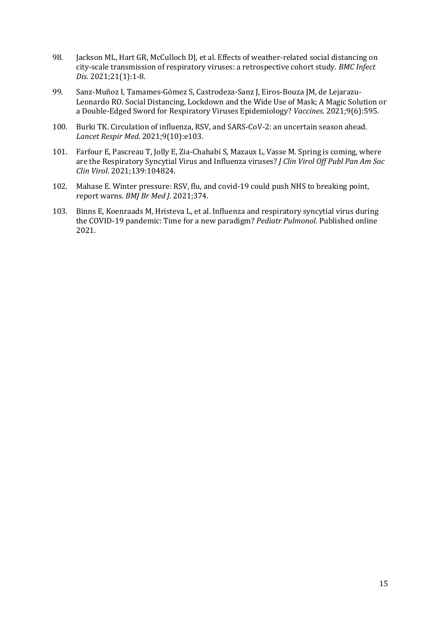- 98. Jackson ML, Hart GR, McCulloch DJ, et al. Effects of weather-related social distancing on city-scale transmission of respiratory viruses: a retrospective cohort study. *BMC Infect Dis*. 2021;21(1):1-8.
- 99. Sanz-Muñoz I, Tamames-Gómez S, Castrodeza-Sanz J, Eiros-Bouza JM, de Lejarazu-Leonardo RO. Social Distancing, Lockdown and the Wide Use of Mask; A Magic Solution or a Double-Edged Sword for Respiratory Viruses Epidemiology? *Vaccines*. 2021;9(6):595.
- 100. Burki TK. Circulation of influenza, RSV, and SARS-CoV-2: an uncertain season ahead. *Lancet Respir Med*. 2021;9(10):e103.
- 101. Farfour E, Pascreau T, Jolly E, Zia-Chahabi S, Mazaux L, Vasse M. Spring is coming, where are the Respiratory Syncytial Virus and Influenza viruses? *J Clin Virol Off Publ Pan Am Soc Clin Virol*. 2021;139:104824.
- 102. Mahase E. Winter pressure: RSV, flu, and covid-19 could push NHS to breaking point, report warns. *BMJ Br Med J*. 2021;374.
- 103. Binns E, Koenraads M, Hristeva L, et al. Influenza and respiratory syncytial virus during the COVID‐19 pandemic: Time for a new paradigm? *Pediatr Pulmonol*. Published online 2021.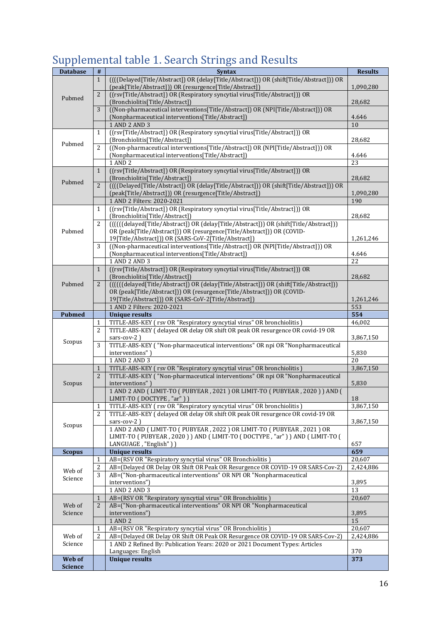# Supplemental table 1. Search Strings and Results

| <b>Database</b>   | $\#$                                                                                                                                                                                                                                                                                                                                                                                                                                                                                                                                                                                                                                                                                                                                                                                                                                                                                                                                                                                                                                                                                                                                                                                                                                                                                                                                                                                                                                                                                                                                                                                                                                                                                                                                                                                                                                                                                                                                                                                                                                                                                                                                                                                                                                                                                                                                                                                                                                                                                                                                                                                                                                                                                                                                                                                                                                                                                                                                                                                                                                                                                                                                                                                                                                                                                                      | <b>Syntax</b>                                                                    | <b>Results</b> |
|-------------------|-----------------------------------------------------------------------------------------------------------------------------------------------------------------------------------------------------------------------------------------------------------------------------------------------------------------------------------------------------------------------------------------------------------------------------------------------------------------------------------------------------------------------------------------------------------------------------------------------------------------------------------------------------------------------------------------------------------------------------------------------------------------------------------------------------------------------------------------------------------------------------------------------------------------------------------------------------------------------------------------------------------------------------------------------------------------------------------------------------------------------------------------------------------------------------------------------------------------------------------------------------------------------------------------------------------------------------------------------------------------------------------------------------------------------------------------------------------------------------------------------------------------------------------------------------------------------------------------------------------------------------------------------------------------------------------------------------------------------------------------------------------------------------------------------------------------------------------------------------------------------------------------------------------------------------------------------------------------------------------------------------------------------------------------------------------------------------------------------------------------------------------------------------------------------------------------------------------------------------------------------------------------------------------------------------------------------------------------------------------------------------------------------------------------------------------------------------------------------------------------------------------------------------------------------------------------------------------------------------------------------------------------------------------------------------------------------------------------------------------------------------------------------------------------------------------------------------------------------------------------------------------------------------------------------------------------------------------------------------------------------------------------------------------------------------------------------------------------------------------------------------------------------------------------------------------------------------------------------------------------------------------------------------------------------------------|----------------------------------------------------------------------------------|----------------|
|                   |                                                                                                                                                                                                                                                                                                                                                                                                                                                                                                                                                                                                                                                                                                                                                                                                                                                                                                                                                                                                                                                                                                                                                                                                                                                                                                                                                                                                                                                                                                                                                                                                                                                                                                                                                                                                                                                                                                                                                                                                                                                                                                                                                                                                                                                                                                                                                                                                                                                                                                                                                                                                                                                                                                                                                                                                                                                                                                                                                                                                                                                                                                                                                                                                                                                                                                           |                                                                                  |                |
|                   |                                                                                                                                                                                                                                                                                                                                                                                                                                                                                                                                                                                                                                                                                                                                                                                                                                                                                                                                                                                                                                                                                                                                                                                                                                                                                                                                                                                                                                                                                                                                                                                                                                                                                                                                                                                                                                                                                                                                                                                                                                                                                                                                                                                                                                                                                                                                                                                                                                                                                                                                                                                                                                                                                                                                                                                                                                                                                                                                                                                                                                                                                                                                                                                                                                                                                                           |                                                                                  | 1,090,280      |
|                   |                                                                                                                                                                                                                                                                                                                                                                                                                                                                                                                                                                                                                                                                                                                                                                                                                                                                                                                                                                                                                                                                                                                                                                                                                                                                                                                                                                                                                                                                                                                                                                                                                                                                                                                                                                                                                                                                                                                                                                                                                                                                                                                                                                                                                                                                                                                                                                                                                                                                                                                                                                                                                                                                                                                                                                                                                                                                                                                                                                                                                                                                                                                                                                                                                                                                                                           |                                                                                  |                |
| Pubmed            |                                                                                                                                                                                                                                                                                                                                                                                                                                                                                                                                                                                                                                                                                                                                                                                                                                                                                                                                                                                                                                                                                                                                                                                                                                                                                                                                                                                                                                                                                                                                                                                                                                                                                                                                                                                                                                                                                                                                                                                                                                                                                                                                                                                                                                                                                                                                                                                                                                                                                                                                                                                                                                                                                                                                                                                                                                                                                                                                                                                                                                                                                                                                                                                                                                                                                                           |                                                                                  | 28,682         |
|                   |                                                                                                                                                                                                                                                                                                                                                                                                                                                                                                                                                                                                                                                                                                                                                                                                                                                                                                                                                                                                                                                                                                                                                                                                                                                                                                                                                                                                                                                                                                                                                                                                                                                                                                                                                                                                                                                                                                                                                                                                                                                                                                                                                                                                                                                                                                                                                                                                                                                                                                                                                                                                                                                                                                                                                                                                                                                                                                                                                                                                                                                                                                                                                                                                                                                                                                           |                                                                                  |                |
|                   |                                                                                                                                                                                                                                                                                                                                                                                                                                                                                                                                                                                                                                                                                                                                                                                                                                                                                                                                                                                                                                                                                                                                                                                                                                                                                                                                                                                                                                                                                                                                                                                                                                                                                                                                                                                                                                                                                                                                                                                                                                                                                                                                                                                                                                                                                                                                                                                                                                                                                                                                                                                                                                                                                                                                                                                                                                                                                                                                                                                                                                                                                                                                                                                                                                                                                                           |                                                                                  | 4.646          |
|                   |                                                                                                                                                                                                                                                                                                                                                                                                                                                                                                                                                                                                                                                                                                                                                                                                                                                                                                                                                                                                                                                                                                                                                                                                                                                                                                                                                                                                                                                                                                                                                                                                                                                                                                                                                                                                                                                                                                                                                                                                                                                                                                                                                                                                                                                                                                                                                                                                                                                                                                                                                                                                                                                                                                                                                                                                                                                                                                                                                                                                                                                                                                                                                                                                                                                                                                           | 1 AND 2 AND 3                                                                    | 10             |
|                   | $\mathbf{1}$                                                                                                                                                                                                                                                                                                                                                                                                                                                                                                                                                                                                                                                                                                                                                                                                                                                                                                                                                                                                                                                                                                                                                                                                                                                                                                                                                                                                                                                                                                                                                                                                                                                                                                                                                                                                                                                                                                                                                                                                                                                                                                                                                                                                                                                                                                                                                                                                                                                                                                                                                                                                                                                                                                                                                                                                                                                                                                                                                                                                                                                                                                                                                                                                                                                                                              |                                                                                  |                |
|                   |                                                                                                                                                                                                                                                                                                                                                                                                                                                                                                                                                                                                                                                                                                                                                                                                                                                                                                                                                                                                                                                                                                                                                                                                                                                                                                                                                                                                                                                                                                                                                                                                                                                                                                                                                                                                                                                                                                                                                                                                                                                                                                                                                                                                                                                                                                                                                                                                                                                                                                                                                                                                                                                                                                                                                                                                                                                                                                                                                                                                                                                                                                                                                                                                                                                                                                           | (Bronchiolitis[Title/Abstract])                                                  | 28,682         |
|                   | 2                                                                                                                                                                                                                                                                                                                                                                                                                                                                                                                                                                                                                                                                                                                                                                                                                                                                                                                                                                                                                                                                                                                                                                                                                                                                                                                                                                                                                                                                                                                                                                                                                                                                                                                                                                                                                                                                                                                                                                                                                                                                                                                                                                                                                                                                                                                                                                                                                                                                                                                                                                                                                                                                                                                                                                                                                                                                                                                                                                                                                                                                                                                                                                                                                                                                                                         | ((Non-pharmaceutical interventions[Title/Abstract]) OR (NPI[Title/Abstract])) OR |                |
|                   |                                                                                                                                                                                                                                                                                                                                                                                                                                                                                                                                                                                                                                                                                                                                                                                                                                                                                                                                                                                                                                                                                                                                                                                                                                                                                                                                                                                                                                                                                                                                                                                                                                                                                                                                                                                                                                                                                                                                                                                                                                                                                                                                                                                                                                                                                                                                                                                                                                                                                                                                                                                                                                                                                                                                                                                                                                                                                                                                                                                                                                                                                                                                                                                                                                                                                                           | (Nonpharmaceutical interventions[Title/Abstract])                                | 4.646          |
|                   |                                                                                                                                                                                                                                                                                                                                                                                                                                                                                                                                                                                                                                                                                                                                                                                                                                                                                                                                                                                                                                                                                                                                                                                                                                                                                                                                                                                                                                                                                                                                                                                                                                                                                                                                                                                                                                                                                                                                                                                                                                                                                                                                                                                                                                                                                                                                                                                                                                                                                                                                                                                                                                                                                                                                                                                                                                                                                                                                                                                                                                                                                                                                                                                                                                                                                                           | 1 AND 2                                                                          | 23             |
|                   | $\mathbf{1}$                                                                                                                                                                                                                                                                                                                                                                                                                                                                                                                                                                                                                                                                                                                                                                                                                                                                                                                                                                                                                                                                                                                                                                                                                                                                                                                                                                                                                                                                                                                                                                                                                                                                                                                                                                                                                                                                                                                                                                                                                                                                                                                                                                                                                                                                                                                                                                                                                                                                                                                                                                                                                                                                                                                                                                                                                                                                                                                                                                                                                                                                                                                                                                                                                                                                                              |                                                                                  |                |
| Pubmed            |                                                                                                                                                                                                                                                                                                                                                                                                                                                                                                                                                                                                                                                                                                                                                                                                                                                                                                                                                                                                                                                                                                                                                                                                                                                                                                                                                                                                                                                                                                                                                                                                                                                                                                                                                                                                                                                                                                                                                                                                                                                                                                                                                                                                                                                                                                                                                                                                                                                                                                                                                                                                                                                                                                                                                                                                                                                                                                                                                                                                                                                                                                                                                                                                                                                                                                           |                                                                                  | 28,682         |
|                   |                                                                                                                                                                                                                                                                                                                                                                                                                                                                                                                                                                                                                                                                                                                                                                                                                                                                                                                                                                                                                                                                                                                                                                                                                                                                                                                                                                                                                                                                                                                                                                                                                                                                                                                                                                                                                                                                                                                                                                                                                                                                                                                                                                                                                                                                                                                                                                                                                                                                                                                                                                                                                                                                                                                                                                                                                                                                                                                                                                                                                                                                                                                                                                                                                                                                                                           |                                                                                  |                |
|                   |                                                                                                                                                                                                                                                                                                                                                                                                                                                                                                                                                                                                                                                                                                                                                                                                                                                                                                                                                                                                                                                                                                                                                                                                                                                                                                                                                                                                                                                                                                                                                                                                                                                                                                                                                                                                                                                                                                                                                                                                                                                                                                                                                                                                                                                                                                                                                                                                                                                                                                                                                                                                                                                                                                                                                                                                                                                                                                                                                                                                                                                                                                                                                                                                                                                                                                           |                                                                                  | 1,090,280      |
|                   |                                                                                                                                                                                                                                                                                                                                                                                                                                                                                                                                                                                                                                                                                                                                                                                                                                                                                                                                                                                                                                                                                                                                                                                                                                                                                                                                                                                                                                                                                                                                                                                                                                                                                                                                                                                                                                                                                                                                                                                                                                                                                                                                                                                                                                                                                                                                                                                                                                                                                                                                                                                                                                                                                                                                                                                                                                                                                                                                                                                                                                                                                                                                                                                                                                                                                                           |                                                                                  | 190            |
|                   |                                                                                                                                                                                                                                                                                                                                                                                                                                                                                                                                                                                                                                                                                                                                                                                                                                                                                                                                                                                                                                                                                                                                                                                                                                                                                                                                                                                                                                                                                                                                                                                                                                                                                                                                                                                                                                                                                                                                                                                                                                                                                                                                                                                                                                                                                                                                                                                                                                                                                                                                                                                                                                                                                                                                                                                                                                                                                                                                                                                                                                                                                                                                                                                                                                                                                                           |                                                                                  |                |
|                   |                                                                                                                                                                                                                                                                                                                                                                                                                                                                                                                                                                                                                                                                                                                                                                                                                                                                                                                                                                                                                                                                                                                                                                                                                                                                                                                                                                                                                                                                                                                                                                                                                                                                                                                                                                                                                                                                                                                                                                                                                                                                                                                                                                                                                                                                                                                                                                                                                                                                                                                                                                                                                                                                                                                                                                                                                                                                                                                                                                                                                                                                                                                                                                                                                                                                                                           |                                                                                  | 28,682         |
|                   |                                                                                                                                                                                                                                                                                                                                                                                                                                                                                                                                                                                                                                                                                                                                                                                                                                                                                                                                                                                                                                                                                                                                                                                                                                                                                                                                                                                                                                                                                                                                                                                                                                                                                                                                                                                                                                                                                                                                                                                                                                                                                                                                                                                                                                                                                                                                                                                                                                                                                                                                                                                                                                                                                                                                                                                                                                                                                                                                                                                                                                                                                                                                                                                                                                                                                                           |                                                                                  |                |
| Pubmed            |                                                                                                                                                                                                                                                                                                                                                                                                                                                                                                                                                                                                                                                                                                                                                                                                                                                                                                                                                                                                                                                                                                                                                                                                                                                                                                                                                                                                                                                                                                                                                                                                                                                                                                                                                                                                                                                                                                                                                                                                                                                                                                                                                                                                                                                                                                                                                                                                                                                                                                                                                                                                                                                                                                                                                                                                                                                                                                                                                                                                                                                                                                                                                                                                                                                                                                           |                                                                                  | 1,261,246      |
|                   |                                                                                                                                                                                                                                                                                                                                                                                                                                                                                                                                                                                                                                                                                                                                                                                                                                                                                                                                                                                                                                                                                                                                                                                                                                                                                                                                                                                                                                                                                                                                                                                                                                                                                                                                                                                                                                                                                                                                                                                                                                                                                                                                                                                                                                                                                                                                                                                                                                                                                                                                                                                                                                                                                                                                                                                                                                                                                                                                                                                                                                                                                                                                                                                                                                                                                                           |                                                                                  |                |
|                   |                                                                                                                                                                                                                                                                                                                                                                                                                                                                                                                                                                                                                                                                                                                                                                                                                                                                                                                                                                                                                                                                                                                                                                                                                                                                                                                                                                                                                                                                                                                                                                                                                                                                                                                                                                                                                                                                                                                                                                                                                                                                                                                                                                                                                                                                                                                                                                                                                                                                                                                                                                                                                                                                                                                                                                                                                                                                                                                                                                                                                                                                                                                                                                                                                                                                                                           |                                                                                  | 4.646          |
|                   |                                                                                                                                                                                                                                                                                                                                                                                                                                                                                                                                                                                                                                                                                                                                                                                                                                                                                                                                                                                                                                                                                                                                                                                                                                                                                                                                                                                                                                                                                                                                                                                                                                                                                                                                                                                                                                                                                                                                                                                                                                                                                                                                                                                                                                                                                                                                                                                                                                                                                                                                                                                                                                                                                                                                                                                                                                                                                                                                                                                                                                                                                                                                                                                                                                                                                                           |                                                                                  | 22             |
|                   |                                                                                                                                                                                                                                                                                                                                                                                                                                                                                                                                                                                                                                                                                                                                                                                                                                                                                                                                                                                                                                                                                                                                                                                                                                                                                                                                                                                                                                                                                                                                                                                                                                                                                                                                                                                                                                                                                                                                                                                                                                                                                                                                                                                                                                                                                                                                                                                                                                                                                                                                                                                                                                                                                                                                                                                                                                                                                                                                                                                                                                                                                                                                                                                                                                                                                                           |                                                                                  |                |
|                   |                                                                                                                                                                                                                                                                                                                                                                                                                                                                                                                                                                                                                                                                                                                                                                                                                                                                                                                                                                                                                                                                                                                                                                                                                                                                                                                                                                                                                                                                                                                                                                                                                                                                                                                                                                                                                                                                                                                                                                                                                                                                                                                                                                                                                                                                                                                                                                                                                                                                                                                                                                                                                                                                                                                                                                                                                                                                                                                                                                                                                                                                                                                                                                                                                                                                                                           |                                                                                  | 28,682         |
| Pubmed            | 2                                                                                                                                                                                                                                                                                                                                                                                                                                                                                                                                                                                                                                                                                                                                                                                                                                                                                                                                                                                                                                                                                                                                                                                                                                                                                                                                                                                                                                                                                                                                                                                                                                                                                                                                                                                                                                                                                                                                                                                                                                                                                                                                                                                                                                                                                                                                                                                                                                                                                                                                                                                                                                                                                                                                                                                                                                                                                                                                                                                                                                                                                                                                                                                                                                                                                                         |                                                                                  |                |
|                   |                                                                                                                                                                                                                                                                                                                                                                                                                                                                                                                                                                                                                                                                                                                                                                                                                                                                                                                                                                                                                                                                                                                                                                                                                                                                                                                                                                                                                                                                                                                                                                                                                                                                                                                                                                                                                                                                                                                                                                                                                                                                                                                                                                                                                                                                                                                                                                                                                                                                                                                                                                                                                                                                                                                                                                                                                                                                                                                                                                                                                                                                                                                                                                                                                                                                                                           |                                                                                  |                |
|                   |                                                                                                                                                                                                                                                                                                                                                                                                                                                                                                                                                                                                                                                                                                                                                                                                                                                                                                                                                                                                                                                                                                                                                                                                                                                                                                                                                                                                                                                                                                                                                                                                                                                                                                                                                                                                                                                                                                                                                                                                                                                                                                                                                                                                                                                                                                                                                                                                                                                                                                                                                                                                                                                                                                                                                                                                                                                                                                                                                                                                                                                                                                                                                                                                                                                                                                           |                                                                                  | 1,261,246      |
|                   |                                                                                                                                                                                                                                                                                                                                                                                                                                                                                                                                                                                                                                                                                                                                                                                                                                                                                                                                                                                                                                                                                                                                                                                                                                                                                                                                                                                                                                                                                                                                                                                                                                                                                                                                                                                                                                                                                                                                                                                                                                                                                                                                                                                                                                                                                                                                                                                                                                                                                                                                                                                                                                                                                                                                                                                                                                                                                                                                                                                                                                                                                                                                                                                                                                                                                                           | 1 AND 2 Filters: 2020-2021                                                       | 553            |
| <b>Pubmed</b>     |                                                                                                                                                                                                                                                                                                                                                                                                                                                                                                                                                                                                                                                                                                                                                                                                                                                                                                                                                                                                                                                                                                                                                                                                                                                                                                                                                                                                                                                                                                                                                                                                                                                                                                                                                                                                                                                                                                                                                                                                                                                                                                                                                                                                                                                                                                                                                                                                                                                                                                                                                                                                                                                                                                                                                                                                                                                                                                                                                                                                                                                                                                                                                                                                                                                                                                           | <b>Unique results</b>                                                            | 554            |
|                   | 1                                                                                                                                                                                                                                                                                                                                                                                                                                                                                                                                                                                                                                                                                                                                                                                                                                                                                                                                                                                                                                                                                                                                                                                                                                                                                                                                                                                                                                                                                                                                                                                                                                                                                                                                                                                                                                                                                                                                                                                                                                                                                                                                                                                                                                                                                                                                                                                                                                                                                                                                                                                                                                                                                                                                                                                                                                                                                                                                                                                                                                                                                                                                                                                                                                                                                                         | TITLE-ABS-KEY (rsv OR "Respiratory syncytial virus" OR bronchiolitis)            | 46,002         |
|                   | 2                                                                                                                                                                                                                                                                                                                                                                                                                                                                                                                                                                                                                                                                                                                                                                                                                                                                                                                                                                                                                                                                                                                                                                                                                                                                                                                                                                                                                                                                                                                                                                                                                                                                                                                                                                                                                                                                                                                                                                                                                                                                                                                                                                                                                                                                                                                                                                                                                                                                                                                                                                                                                                                                                                                                                                                                                                                                                                                                                                                                                                                                                                                                                                                                                                                                                                         | TITLE-ABS-KEY (delayed OR delay OR shift OR peak OR resurgence OR covid-19 OR    |                |
| Scopus            |                                                                                                                                                                                                                                                                                                                                                                                                                                                                                                                                                                                                                                                                                                                                                                                                                                                                                                                                                                                                                                                                                                                                                                                                                                                                                                                                                                                                                                                                                                                                                                                                                                                                                                                                                                                                                                                                                                                                                                                                                                                                                                                                                                                                                                                                                                                                                                                                                                                                                                                                                                                                                                                                                                                                                                                                                                                                                                                                                                                                                                                                                                                                                                                                                                                                                                           | sars-cov-2)                                                                      | 3,867,150      |
|                   |                                                                                                                                                                                                                                                                                                                                                                                                                                                                                                                                                                                                                                                                                                                                                                                                                                                                                                                                                                                                                                                                                                                                                                                                                                                                                                                                                                                                                                                                                                                                                                                                                                                                                                                                                                                                                                                                                                                                                                                                                                                                                                                                                                                                                                                                                                                                                                                                                                                                                                                                                                                                                                                                                                                                                                                                                                                                                                                                                                                                                                                                                                                                                                                                                                                                                                           |                                                                                  |                |
|                   |                                                                                                                                                                                                                                                                                                                                                                                                                                                                                                                                                                                                                                                                                                                                                                                                                                                                                                                                                                                                                                                                                                                                                                                                                                                                                                                                                                                                                                                                                                                                                                                                                                                                                                                                                                                                                                                                                                                                                                                                                                                                                                                                                                                                                                                                                                                                                                                                                                                                                                                                                                                                                                                                                                                                                                                                                                                                                                                                                                                                                                                                                                                                                                                                                                                                                                           |                                                                                  | 5,830          |
|                   |                                                                                                                                                                                                                                                                                                                                                                                                                                                                                                                                                                                                                                                                                                                                                                                                                                                                                                                                                                                                                                                                                                                                                                                                                                                                                                                                                                                                                                                                                                                                                                                                                                                                                                                                                                                                                                                                                                                                                                                                                                                                                                                                                                                                                                                                                                                                                                                                                                                                                                                                                                                                                                                                                                                                                                                                                                                                                                                                                                                                                                                                                                                                                                                                                                                                                                           |                                                                                  | 20             |
|                   |                                                                                                                                                                                                                                                                                                                                                                                                                                                                                                                                                                                                                                                                                                                                                                                                                                                                                                                                                                                                                                                                                                                                                                                                                                                                                                                                                                                                                                                                                                                                                                                                                                                                                                                                                                                                                                                                                                                                                                                                                                                                                                                                                                                                                                                                                                                                                                                                                                                                                                                                                                                                                                                                                                                                                                                                                                                                                                                                                                                                                                                                                                                                                                                                                                                                                                           |                                                                                  | 3,867,150      |
|                   |                                                                                                                                                                                                                                                                                                                                                                                                                                                                                                                                                                                                                                                                                                                                                                                                                                                                                                                                                                                                                                                                                                                                                                                                                                                                                                                                                                                                                                                                                                                                                                                                                                                                                                                                                                                                                                                                                                                                                                                                                                                                                                                                                                                                                                                                                                                                                                                                                                                                                                                                                                                                                                                                                                                                                                                                                                                                                                                                                                                                                                                                                                                                                                                                                                                                                                           |                                                                                  |                |
|                   |                                                                                                                                                                                                                                                                                                                                                                                                                                                                                                                                                                                                                                                                                                                                                                                                                                                                                                                                                                                                                                                                                                                                                                                                                                                                                                                                                                                                                                                                                                                                                                                                                                                                                                                                                                                                                                                                                                                                                                                                                                                                                                                                                                                                                                                                                                                                                                                                                                                                                                                                                                                                                                                                                                                                                                                                                                                                                                                                                                                                                                                                                                                                                                                                                                                                                                           |                                                                                  | 5,830          |
|                   |                                                                                                                                                                                                                                                                                                                                                                                                                                                                                                                                                                                                                                                                                                                                                                                                                                                                                                                                                                                                                                                                                                                                                                                                                                                                                                                                                                                                                                                                                                                                                                                                                                                                                                                                                                                                                                                                                                                                                                                                                                                                                                                                                                                                                                                                                                                                                                                                                                                                                                                                                                                                                                                                                                                                                                                                                                                                                                                                                                                                                                                                                                                                                                                                                                                                                                           |                                                                                  | $18\,$         |
|                   |                                                                                                                                                                                                                                                                                                                                                                                                                                                                                                                                                                                                                                                                                                                                                                                                                                                                                                                                                                                                                                                                                                                                                                                                                                                                                                                                                                                                                                                                                                                                                                                                                                                                                                                                                                                                                                                                                                                                                                                                                                                                                                                                                                                                                                                                                                                                                                                                                                                                                                                                                                                                                                                                                                                                                                                                                                                                                                                                                                                                                                                                                                                                                                                                                                                                                                           |                                                                                  |                |
|                   | (((Delayed[Title/Abstract]) OR (delay[Title/Abstract])) OR (shift[Title/Abstract])) OR<br>$\mathbf{1}$<br>(peak[Title/Abstract])) OR (resurgence[Title/Abstract])<br>((rsv[Title/Abstract]) OR (Respiratory syncytial virus[Title/Abstract])) OR<br>2<br>(Bronchiolitis[Title/Abstract])<br>((Non-pharmaceutical interventions[Title/Abstract]) OR (NPI[Title/Abstract])) OR<br>3<br>(Nonpharmaceutical interventions[Title/Abstract])<br>((rsv[Title/Abstract]) OR (Respiratory syncytial virus[Title/Abstract])) OR<br>Pubmed<br>((rsv[Title/Abstract]) OR (Respiratory syncytial virus[Title/Abstract])) OR<br>(Bronchiolitis[Title/Abstract])<br>((([Delayed[Title/Abstract]) OR (delay[Title/Abstract])) OR (shift[Title/Abstract])) OR<br>$\overline{2}$<br>(peak[Title/Abstract])) OR (resurgence[Title/Abstract])<br>1 AND 2 Filters: 2020-2021<br>((rsv[Title/Abstract]) OR (Respiratory syncytial virus[Title/Abstract])) OR<br>1<br>(Bronchiolitis[Title/Abstract])<br>(((((delayed[Title/Abstract]) OR (delay[Title/Abstract])) OR (shift[Title/Abstract]))<br>$\overline{2}$<br>OR (peak[Title/Abstract])) OR (resurgence[Title/Abstract])) OR (COVID-<br>19[Title/Abstract])) OR (SARS-CoV-2[Title/Abstract])<br>3<br>((Non-pharmaceutical interventions[Title/Abstract]) OR (NPI[Title/Abstract])) OR<br>(Nonpharmaceutical interventions[Title/Abstract])<br>1 AND 2 AND 3<br>((rsv[Title/Abstract]) OR (Respiratory syncytial virus[Title/Abstract])) OR<br>$\mathbf{1}$<br>(Bronchiolitis[Title/Abstract])<br>(((((delayed[Title/Abstract]) OR (delay[Title/Abstract])) OR (shift[Title/Abstract]))<br>OR (peak[Title/Abstract])) OR (resurgence[Title/Abstract])) OR (COVID-<br>19[Title/Abstract])) OR (SARS-CoV-2[Title/Abstract])<br>TITLE-ABS-KEY ("Non-pharmaceutical interventions" OR npi OR "Nonpharmaceutical<br>3<br>interventions")<br>1 AND 2 AND 3<br>TITLE-ABS-KEY (rsv OR "Respiratory syncytial virus" OR bronchiolitis)<br>$\mathbf{1}$<br>TITLE-ABS-KEY ("Non-pharmaceutical interventions" OR npi OR "Nonpharmaceutical<br>$\overline{2}$<br>interventions"<br>1 AND 2 AND (LIMIT-TO (PUBYEAR, 2021) OR LIMIT-TO (PUBYEAR, 2020) ) AND (<br>LIMIT-TO (DOCTYPE, "ar"))<br>TITLE-ABS-KEY (rsv OR "Respiratory syncytial virus" OR bronchiolitis)<br>1<br>$\overline{2}$<br>TITLE-ABS-KEY (delayed OR delay OR shift OR peak OR resurgence OR covid-19 OR<br>sars-cov-2)<br>1 AND 2 AND (LIMIT-TO (PUBYEAR, 2022) OR LIMIT-TO (PUBYEAR, 2021) OR<br>LIMIT-TO (PUBYEAR, 2020) ) AND (LIMIT-TO (DOCTYPE, "ar") ) AND (LIMIT-TO (<br>LANGUAGE, "English" ) )<br><b>Unique results</b><br>AB=(RSV OR "Respiratory syncytial virus" OR Bronchiolitis)<br>$\mathbf{1}$<br>2<br>AB=("Non-pharmaceutical interventions" OR NPI OR "Nonpharmaceutical<br>3<br>interventions")<br>1 AND 2 AND 3<br>AB=(RSV OR "Respiratory syncytial virus" OR Bronchiolitis)<br>1<br>AB=("Non-pharmaceutical interventions" OR NPI OR "Nonpharmaceutical<br>2<br>interventions")<br>1 AND 2<br>AB=(RSV OR "Respiratory syncytial virus" OR Bronchiolitis)<br>$\mathbf{1}$<br>AB=(Delayed OR Delay OR Shift OR Peak OR Resurgence OR COVID-19 OR SARS-Cov-2)<br>2<br>1 AND 2 Refined By: Publication Years: 2020 or 2021 Document Types: Articles<br>Languages: English<br><b>Unique results</b> | 3,867,150                                                                        |                |
| Scopus<br>Scopus  |                                                                                                                                                                                                                                                                                                                                                                                                                                                                                                                                                                                                                                                                                                                                                                                                                                                                                                                                                                                                                                                                                                                                                                                                                                                                                                                                                                                                                                                                                                                                                                                                                                                                                                                                                                                                                                                                                                                                                                                                                                                                                                                                                                                                                                                                                                                                                                                                                                                                                                                                                                                                                                                                                                                                                                                                                                                                                                                                                                                                                                                                                                                                                                                                                                                                                                           |                                                                                  | 3,867,150      |
|                   |                                                                                                                                                                                                                                                                                                                                                                                                                                                                                                                                                                                                                                                                                                                                                                                                                                                                                                                                                                                                                                                                                                                                                                                                                                                                                                                                                                                                                                                                                                                                                                                                                                                                                                                                                                                                                                                                                                                                                                                                                                                                                                                                                                                                                                                                                                                                                                                                                                                                                                                                                                                                                                                                                                                                                                                                                                                                                                                                                                                                                                                                                                                                                                                                                                                                                                           |                                                                                  |                |
|                   |                                                                                                                                                                                                                                                                                                                                                                                                                                                                                                                                                                                                                                                                                                                                                                                                                                                                                                                                                                                                                                                                                                                                                                                                                                                                                                                                                                                                                                                                                                                                                                                                                                                                                                                                                                                                                                                                                                                                                                                                                                                                                                                                                                                                                                                                                                                                                                                                                                                                                                                                                                                                                                                                                                                                                                                                                                                                                                                                                                                                                                                                                                                                                                                                                                                                                                           |                                                                                  |                |
|                   |                                                                                                                                                                                                                                                                                                                                                                                                                                                                                                                                                                                                                                                                                                                                                                                                                                                                                                                                                                                                                                                                                                                                                                                                                                                                                                                                                                                                                                                                                                                                                                                                                                                                                                                                                                                                                                                                                                                                                                                                                                                                                                                                                                                                                                                                                                                                                                                                                                                                                                                                                                                                                                                                                                                                                                                                                                                                                                                                                                                                                                                                                                                                                                                                                                                                                                           |                                                                                  | 657            |
| <b>Scopus</b>     |                                                                                                                                                                                                                                                                                                                                                                                                                                                                                                                                                                                                                                                                                                                                                                                                                                                                                                                                                                                                                                                                                                                                                                                                                                                                                                                                                                                                                                                                                                                                                                                                                                                                                                                                                                                                                                                                                                                                                                                                                                                                                                                                                                                                                                                                                                                                                                                                                                                                                                                                                                                                                                                                                                                                                                                                                                                                                                                                                                                                                                                                                                                                                                                                                                                                                                           |                                                                                  | 659            |
|                   |                                                                                                                                                                                                                                                                                                                                                                                                                                                                                                                                                                                                                                                                                                                                                                                                                                                                                                                                                                                                                                                                                                                                                                                                                                                                                                                                                                                                                                                                                                                                                                                                                                                                                                                                                                                                                                                                                                                                                                                                                                                                                                                                                                                                                                                                                                                                                                                                                                                                                                                                                                                                                                                                                                                                                                                                                                                                                                                                                                                                                                                                                                                                                                                                                                                                                                           |                                                                                  | 20,607         |
|                   |                                                                                                                                                                                                                                                                                                                                                                                                                                                                                                                                                                                                                                                                                                                                                                                                                                                                                                                                                                                                                                                                                                                                                                                                                                                                                                                                                                                                                                                                                                                                                                                                                                                                                                                                                                                                                                                                                                                                                                                                                                                                                                                                                                                                                                                                                                                                                                                                                                                                                                                                                                                                                                                                                                                                                                                                                                                                                                                                                                                                                                                                                                                                                                                                                                                                                                           | AB=(Delayed OR Delay OR Shift OR Peak OR Resurgence OR COVID-19 OR SARS-Cov-2)   | 2,424,886      |
| Web of<br>Science |                                                                                                                                                                                                                                                                                                                                                                                                                                                                                                                                                                                                                                                                                                                                                                                                                                                                                                                                                                                                                                                                                                                                                                                                                                                                                                                                                                                                                                                                                                                                                                                                                                                                                                                                                                                                                                                                                                                                                                                                                                                                                                                                                                                                                                                                                                                                                                                                                                                                                                                                                                                                                                                                                                                                                                                                                                                                                                                                                                                                                                                                                                                                                                                                                                                                                                           |                                                                                  |                |
|                   |                                                                                                                                                                                                                                                                                                                                                                                                                                                                                                                                                                                                                                                                                                                                                                                                                                                                                                                                                                                                                                                                                                                                                                                                                                                                                                                                                                                                                                                                                                                                                                                                                                                                                                                                                                                                                                                                                                                                                                                                                                                                                                                                                                                                                                                                                                                                                                                                                                                                                                                                                                                                                                                                                                                                                                                                                                                                                                                                                                                                                                                                                                                                                                                                                                                                                                           |                                                                                  | 3,895          |
|                   |                                                                                                                                                                                                                                                                                                                                                                                                                                                                                                                                                                                                                                                                                                                                                                                                                                                                                                                                                                                                                                                                                                                                                                                                                                                                                                                                                                                                                                                                                                                                                                                                                                                                                                                                                                                                                                                                                                                                                                                                                                                                                                                                                                                                                                                                                                                                                                                                                                                                                                                                                                                                                                                                                                                                                                                                                                                                                                                                                                                                                                                                                                                                                                                                                                                                                                           |                                                                                  | 13             |
|                   |                                                                                                                                                                                                                                                                                                                                                                                                                                                                                                                                                                                                                                                                                                                                                                                                                                                                                                                                                                                                                                                                                                                                                                                                                                                                                                                                                                                                                                                                                                                                                                                                                                                                                                                                                                                                                                                                                                                                                                                                                                                                                                                                                                                                                                                                                                                                                                                                                                                                                                                                                                                                                                                                                                                                                                                                                                                                                                                                                                                                                                                                                                                                                                                                                                                                                                           |                                                                                  | 20,607         |
| Web of            |                                                                                                                                                                                                                                                                                                                                                                                                                                                                                                                                                                                                                                                                                                                                                                                                                                                                                                                                                                                                                                                                                                                                                                                                                                                                                                                                                                                                                                                                                                                                                                                                                                                                                                                                                                                                                                                                                                                                                                                                                                                                                                                                                                                                                                                                                                                                                                                                                                                                                                                                                                                                                                                                                                                                                                                                                                                                                                                                                                                                                                                                                                                                                                                                                                                                                                           |                                                                                  |                |
| Science           |                                                                                                                                                                                                                                                                                                                                                                                                                                                                                                                                                                                                                                                                                                                                                                                                                                                                                                                                                                                                                                                                                                                                                                                                                                                                                                                                                                                                                                                                                                                                                                                                                                                                                                                                                                                                                                                                                                                                                                                                                                                                                                                                                                                                                                                                                                                                                                                                                                                                                                                                                                                                                                                                                                                                                                                                                                                                                                                                                                                                                                                                                                                                                                                                                                                                                                           |                                                                                  | 3,895          |
|                   |                                                                                                                                                                                                                                                                                                                                                                                                                                                                                                                                                                                                                                                                                                                                                                                                                                                                                                                                                                                                                                                                                                                                                                                                                                                                                                                                                                                                                                                                                                                                                                                                                                                                                                                                                                                                                                                                                                                                                                                                                                                                                                                                                                                                                                                                                                                                                                                                                                                                                                                                                                                                                                                                                                                                                                                                                                                                                                                                                                                                                                                                                                                                                                                                                                                                                                           |                                                                                  | 15             |
|                   |                                                                                                                                                                                                                                                                                                                                                                                                                                                                                                                                                                                                                                                                                                                                                                                                                                                                                                                                                                                                                                                                                                                                                                                                                                                                                                                                                                                                                                                                                                                                                                                                                                                                                                                                                                                                                                                                                                                                                                                                                                                                                                                                                                                                                                                                                                                                                                                                                                                                                                                                                                                                                                                                                                                                                                                                                                                                                                                                                                                                                                                                                                                                                                                                                                                                                                           |                                                                                  | 20,607         |
| Web of            |                                                                                                                                                                                                                                                                                                                                                                                                                                                                                                                                                                                                                                                                                                                                                                                                                                                                                                                                                                                                                                                                                                                                                                                                                                                                                                                                                                                                                                                                                                                                                                                                                                                                                                                                                                                                                                                                                                                                                                                                                                                                                                                                                                                                                                                                                                                                                                                                                                                                                                                                                                                                                                                                                                                                                                                                                                                                                                                                                                                                                                                                                                                                                                                                                                                                                                           |                                                                                  | 2,424,886      |
| Science           |                                                                                                                                                                                                                                                                                                                                                                                                                                                                                                                                                                                                                                                                                                                                                                                                                                                                                                                                                                                                                                                                                                                                                                                                                                                                                                                                                                                                                                                                                                                                                                                                                                                                                                                                                                                                                                                                                                                                                                                                                                                                                                                                                                                                                                                                                                                                                                                                                                                                                                                                                                                                                                                                                                                                                                                                                                                                                                                                                                                                                                                                                                                                                                                                                                                                                                           |                                                                                  |                |
|                   |                                                                                                                                                                                                                                                                                                                                                                                                                                                                                                                                                                                                                                                                                                                                                                                                                                                                                                                                                                                                                                                                                                                                                                                                                                                                                                                                                                                                                                                                                                                                                                                                                                                                                                                                                                                                                                                                                                                                                                                                                                                                                                                                                                                                                                                                                                                                                                                                                                                                                                                                                                                                                                                                                                                                                                                                                                                                                                                                                                                                                                                                                                                                                                                                                                                                                                           |                                                                                  | 370            |
| Web of            |                                                                                                                                                                                                                                                                                                                                                                                                                                                                                                                                                                                                                                                                                                                                                                                                                                                                                                                                                                                                                                                                                                                                                                                                                                                                                                                                                                                                                                                                                                                                                                                                                                                                                                                                                                                                                                                                                                                                                                                                                                                                                                                                                                                                                                                                                                                                                                                                                                                                                                                                                                                                                                                                                                                                                                                                                                                                                                                                                                                                                                                                                                                                                                                                                                                                                                           |                                                                                  | 373            |
| Science           |                                                                                                                                                                                                                                                                                                                                                                                                                                                                                                                                                                                                                                                                                                                                                                                                                                                                                                                                                                                                                                                                                                                                                                                                                                                                                                                                                                                                                                                                                                                                                                                                                                                                                                                                                                                                                                                                                                                                                                                                                                                                                                                                                                                                                                                                                                                                                                                                                                                                                                                                                                                                                                                                                                                                                                                                                                                                                                                                                                                                                                                                                                                                                                                                                                                                                                           |                                                                                  |                |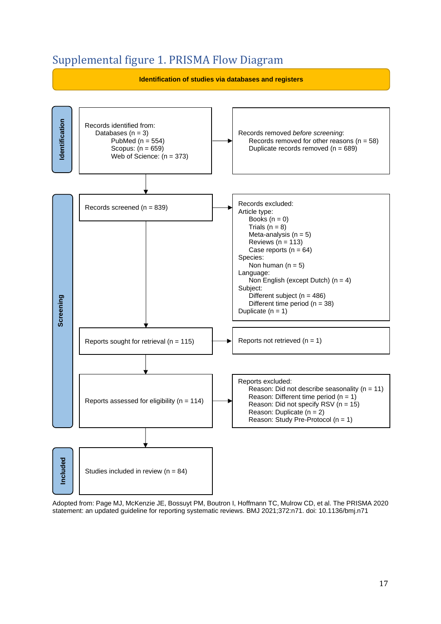# Supplemental figure 1. PRISMA Flow Diagram



Adopted from: Page MJ, McKenzie JE, Bossuyt PM, Boutron I, Hoffmann TC, Mulrow CD, et al. The PRISMA 2020 statement: an updated guideline for reporting systematic reviews. BMJ 2021;372:n71. doi: 10.1136/bmj.n71